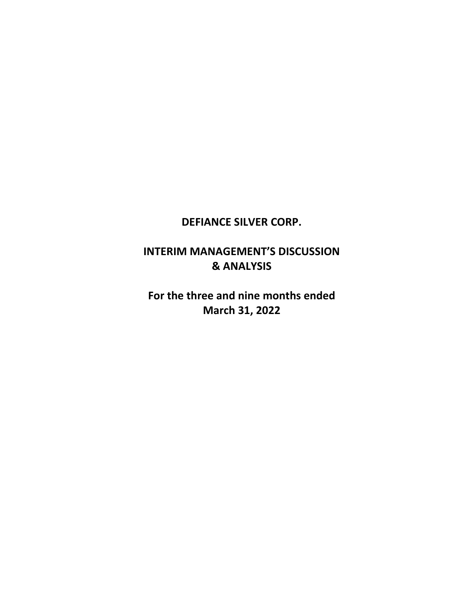# **DEFIANCE SILVER CORP.**

# **INTERIM MANAGEMENT'S DISCUSSION & ANALYSIS**

**For the three and nine months ended March 31, 2022**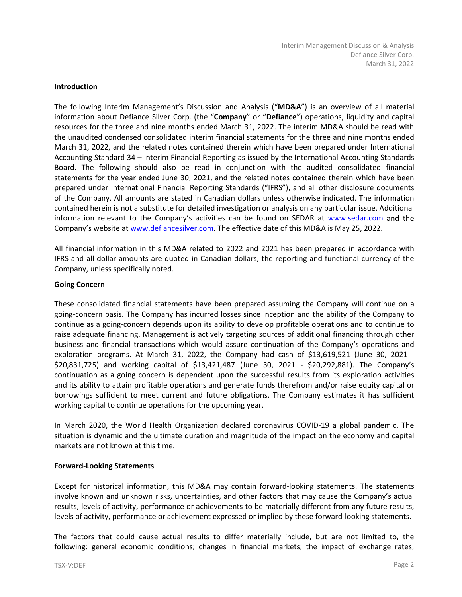#### **Introduction**

The following Interim Management's Discussion and Analysis ("**MD&A**") is an overview of all material information about Defiance Silver Corp. (the "**Company**" or "**Defiance**") operations, liquidity and capital resources for the three and nine months ended March 31, 2022. The interim MD&A should be read with the unaudited condensed consolidated interim financial statements for the three and nine months ended March 31, 2022, and the related notes contained therein which have been prepared under International Accounting Standard 34 – Interim Financial Reporting as issued by the International Accounting Standards Board. The following should also be read in conjunction with the audited consolidated financial statements for the year ended June 30, 2021, and the related notes contained therein which have been prepared under International Financial Reporting Standards ("IFRS"), and all other disclosure documents of the Company. All amounts are stated in Canadian dollars unless otherwise indicated. The information contained herein is not a substitute for detailed investigation or analysis on any particular issue. Additional information relevant to the Company's activities can be found on SEDAR at [www.sedar.com](http://www.sedar.com/) and the Company's website at [www.defiancesilver.](http://www.defiancesilver/)com. The effective date of this MD&A is May 25, 2022.

All financial information in this MD&A related to 2022 and 2021 has been prepared in accordance with IFRS and all dollar amounts are quoted in Canadian dollars, the reporting and functional currency of the Company, unless specifically noted.

#### **Going Concern**

These consolidated financial statements have been prepared assuming the Company will continue on a going-concern basis. The Company has incurred losses since inception and the ability of the Company to continue as a going-concern depends upon its ability to develop profitable operations and to continue to raise adequate financing. Management is actively targeting sources of additional financing through other business and financial transactions which would assure continuation of the Company's operations and exploration programs. At March 31, 2022, the Company had cash of \$13,619,521 (June 30, 2021 - \$20,831,725) and working capital of \$13,421,487 (June 30, 2021 - \$20,292,881). The Company's continuation as a going concern is dependent upon the successful results from its exploration activities and its ability to attain profitable operations and generate funds therefrom and/or raise equity capital or borrowings sufficient to meet current and future obligations. The Company estimates it has sufficient working capital to continue operations for the upcoming year.

In March 2020, the World Health Organization declared coronavirus COVID-19 a global pandemic. The situation is dynamic and the ultimate duration and magnitude of the impact on the economy and capital markets are not known at this time.

#### **Forward-Looking Statements**

Except for historical information, this MD&A may contain forward-looking statements. The statements involve known and unknown risks, uncertainties, and other factors that may cause the Company's actual results, levels of activity, performance or achievements to be materially different from any future results, levels of activity, performance or achievement expressed or implied by these forward-looking statements.

The factors that could cause actual results to differ materially include, but are not limited to, the following: general economic conditions; changes in financial markets; the impact of exchange rates;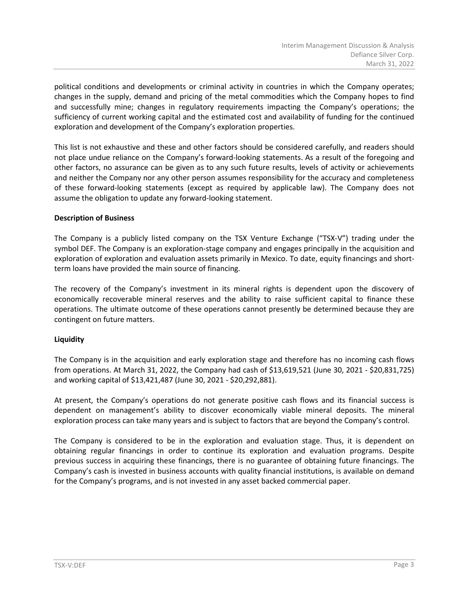political conditions and developments or criminal activity in countries in which the Company operates; changes in the supply, demand and pricing of the metal commodities which the Company hopes to find and successfully mine; changes in regulatory requirements impacting the Company's operations; the sufficiency of current working capital and the estimated cost and availability of funding for the continued exploration and development of the Company's exploration properties.

This list is not exhaustive and these and other factors should be considered carefully, and readers should not place undue reliance on the Company's forward-looking statements. As a result of the foregoing and other factors, no assurance can be given as to any such future results, levels of activity or achievements and neither the Company nor any other person assumes responsibility for the accuracy and completeness of these forward-looking statements (except as required by applicable law). The Company does not assume the obligation to update any forward-looking statement.

#### **Description of Business**

The Company is a publicly listed company on the TSX Venture Exchange ("TSX-V") trading under the symbol DEF. The Company is an exploration-stage company and engages principally in the acquisition and exploration of exploration and evaluation assets primarily in Mexico. To date, equity financings and shortterm loans have provided the main source of financing.

The recovery of the Company's investment in its mineral rights is dependent upon the discovery of economically recoverable mineral reserves and the ability to raise sufficient capital to finance these operations. The ultimate outcome of these operations cannot presently be determined because they are contingent on future matters.

# **Liquidity**

The Company is in the acquisition and early exploration stage and therefore has no incoming cash flows from operations. At March 31, 2022, the Company had cash of \$13,619,521 (June 30, 2021 - \$20,831,725) and working capital of \$13,421,487 (June 30, 2021 - \$20,292,881).

At present, the Company's operations do not generate positive cash flows and its financial success is dependent on management's ability to discover economically viable mineral deposits. The mineral exploration process can take many years and is subject to factors that are beyond the Company's control.

The Company is considered to be in the exploration and evaluation stage. Thus, it is dependent on obtaining regular financings in order to continue its exploration and evaluation programs. Despite previous success in acquiring these financings, there is no guarantee of obtaining future financings. The Company's cash is invested in business accounts with quality financial institutions, is available on demand for the Company's programs, and is not invested in any asset backed commercial paper.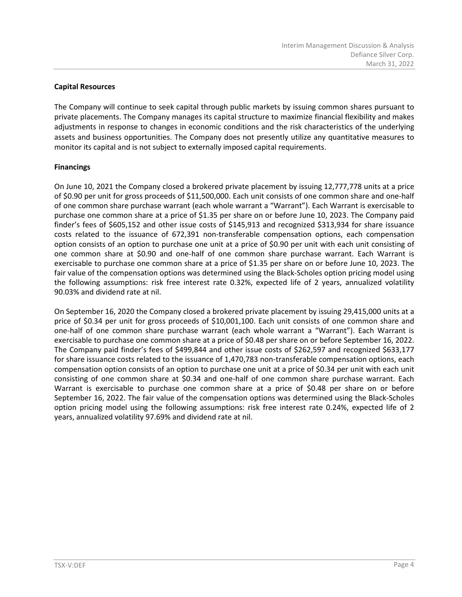# **Capital Resources**

The Company will continue to seek capital through public markets by issuing common shares pursuant to private placements. The Company manages its capital structure to maximize financial flexibility and makes adjustments in response to changes in economic conditions and the risk characteristics of the underlying assets and business opportunities. The Company does not presently utilize any quantitative measures to monitor its capital and is not subject to externally imposed capital requirements.

# **Financings**

On June 10, 2021 the Company closed a brokered private placement by issuing 12,777,778 units at a price of \$0.90 per unit for gross proceeds of \$11,500,000. Each unit consists of one common share and one-half of one common share purchase warrant (each whole warrant a "Warrant"). Each Warrant is exercisable to purchase one common share at a price of \$1.35 per share on or before June 10, 2023. The Company paid finder's fees of \$605,152 and other issue costs of \$145,913 and recognized \$313,934 for share issuance costs related to the issuance of 672,391 non-transferable compensation options, each compensation option consists of an option to purchase one unit at a price of \$0.90 per unit with each unit consisting of one common share at \$0.90 and one-half of one common share purchase warrant. Each Warrant is exercisable to purchase one common share at a price of \$1.35 per share on or before June 10, 2023. The fair value of the compensation options was determined using the Black-Scholes option pricing model using the following assumptions: risk free interest rate 0.32%, expected life of 2 years, annualized volatility 90.03% and dividend rate at nil.

On September 16, 2020 the Company closed a brokered private placement by issuing 29,415,000 units at a price of \$0.34 per unit for gross proceeds of \$10,001,100. Each unit consists of one common share and one-half of one common share purchase warrant (each whole warrant a "Warrant"). Each Warrant is exercisable to purchase one common share at a price of \$0.48 per share on or before September 16, 2022. The Company paid finder's fees of \$499,844 and other issue costs of \$262,597 and recognized \$633,177 for share issuance costs related to the issuance of 1,470,783 non-transferable compensation options, each compensation option consists of an option to purchase one unit at a price of \$0.34 per unit with each unit consisting of one common share at \$0.34 and one-half of one common share purchase warrant. Each Warrant is exercisable to purchase one common share at a price of \$0.48 per share on or before September 16, 2022. The fair value of the compensation options was determined using the Black-Scholes option pricing model using the following assumptions: risk free interest rate 0.24%, expected life of 2 years, annualized volatility 97.69% and dividend rate at nil.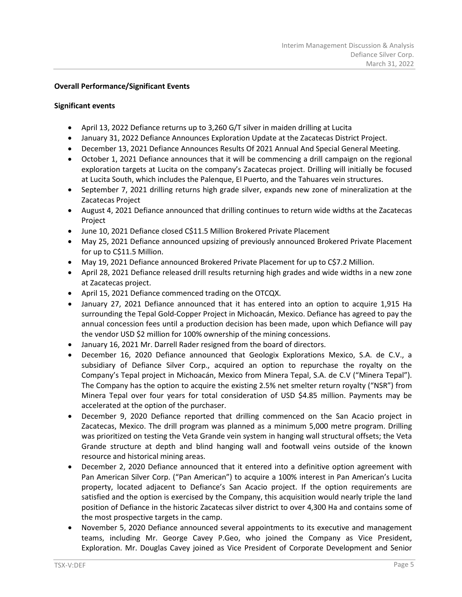# **Overall Performance/Significant Events**

#### **Significant events**

- April 13, 2022 Defiance returns up to 3,260 G/T silver in maiden drilling at Lucita
- January 31, 2022 Defiance Announces Exploration Update at the Zacatecas District Project.
- December 13, 2021 Defiance Announces Results Of 2021 Annual And Special General Meeting.
- October 1, 2021 Defiance announces that it will be commencing a drill campaign on the regional exploration targets at Lucita on the company's Zacatecas project. Drilling will initially be focused at Lucita South, which includes the Palenque, El Puerto, and the Tahuares vein structures.
- September 7, 2021 drilling returns high grade silver, expands new zone of mineralization at the Zacatecas Project
- August 4, 2021 Defiance announced that drilling continues to return wide widths at the Zacatecas Project
- June 10, 2021 Defiance closed C\$11.5 Million Brokered Private Placement
- May 25, 2021 Defiance announced upsizing of previously announced Brokered Private Placement for up to C\$11.5 Million.
- May 19, 2021 Defiance announced Brokered Private Placement for up to C\$7.2 Million.
- April 28, 2021 Defiance released drill results returning high grades and wide widths in a new zone at Zacatecas project.
- April 15, 2021 Defiance commenced trading on the OTCQX.
- January 27, 2021 Defiance announced that it has entered into an option to acquire 1,915 Ha surrounding the Tepal Gold-Copper Project in Michoacán, Mexico. Defiance has agreed to pay the annual concession fees until a production decision has been made, upon which Defiance will pay the vendor USD \$2 million for 100% ownership of the mining concessions.
- January 16, 2021 Mr. Darrell Rader resigned from the board of directors.
- December 16, 2020 Defiance announced that Geologix Explorations Mexico, S.A. de C.V., a subsidiary of Defiance Silver Corp., acquired an option to repurchase the royalty on the Company's Tepal project in Michoacán, Mexico from Minera Tepal, S.A. de C.V ("Minera Tepal"). The Company has the option to acquire the existing 2.5% net smelter return royalty ("NSR") from Minera Tepal over four years for total consideration of USD \$4.85 million. Payments may be accelerated at the option of the purchaser.
- December 9, 2020 Defiance reported that drilling commenced on the San Acacio project in Zacatecas, Mexico. The drill program was planned as a minimum 5,000 metre program. Drilling was prioritized on testing the Veta Grande vein system in hanging wall structural offsets; the Veta Grande structure at depth and blind hanging wall and footwall veins outside of the known resource and historical mining areas.
- December 2, 2020 Defiance announced that it entered into a definitive option agreement with Pan American Silver Corp. ("Pan American") to acquire a 100% interest in Pan American's Lucita property, located adjacent to Defiance's San Acacio project. If the option requirements are satisfied and the option is exercised by the Company, this acquisition would nearly triple the land position of Defiance in the historic Zacatecas silver district to over 4,300 Ha and contains some of the most prospective targets in the camp.
- November 5, 2020 Defiance announced several appointments to its executive and management teams, including Mr. George Cavey P.Geo, who joined the Company as Vice President, Exploration. Mr. Douglas Cavey joined as Vice President of Corporate Development and Senior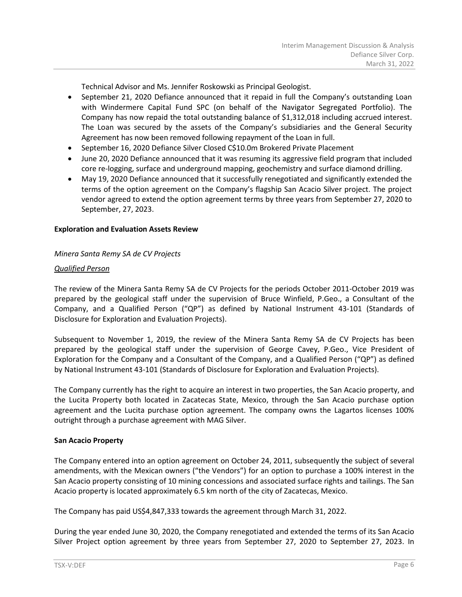Technical Advisor and Ms. Jennifer Roskowski as Principal Geologist.

- September 21, 2020 Defiance announced that it repaid in full the Company's outstanding Loan with Windermere Capital Fund SPC (on behalf of the Navigator Segregated Portfolio). The Company has now repaid the total outstanding balance of \$1,312,018 including accrued interest. The Loan was secured by the assets of the Company's subsidiaries and the General Security Agreement has now been removed following repayment of the Loan in full.
- September 16, 2020 Defiance Silver Closed C\$10.0m Brokered Private Placement
- June 20, 2020 Defiance announced that it was resuming its aggressive field program that included core re-logging, surface and underground mapping, geochemistry and surface diamond drilling.
- May 19, 2020 Defiance announced that it successfully renegotiated and significantly extended the terms of the option agreement on the Company's flagship San Acacio Silver project. The project vendor agreed to extend the option agreement terms by three years from September 27, 2020 to September, 27, 2023.

# **Exploration and Evaluation Assets Review**

# *Minera Santa Remy SA de CV Projects*

#### *Qualified Person*

The review of the Minera Santa Remy SA de CV Projects for the periods October 2011-October 2019 was prepared by the geological staff under the supervision of Bruce Winfield, P.Geo., a Consultant of the Company, and a Qualified Person ("QP") as defined by National Instrument 43-101 (Standards of Disclosure for Exploration and Evaluation Projects).

Subsequent to November 1, 2019, the review of the Minera Santa Remy SA de CV Projects has been prepared by the geological staff under the supervision of George Cavey, P.Geo., Vice President of Exploration for the Company and a Consultant of the Company, and a Qualified Person ("QP") as defined by National Instrument 43-101 (Standards of Disclosure for Exploration and Evaluation Projects).

The Company currently has the right to acquire an interest in two properties, the San Acacio property, and the Lucita Property both located in Zacatecas State, Mexico, through the San Acacio purchase option agreement and the Lucita purchase option agreement. The company owns the Lagartos licenses 100% outright through a purchase agreement with MAG Silver.

#### **San Acacio Property**

The Company entered into an option agreement on October 24, 2011, subsequently the subject of several amendments, with the Mexican owners ("the Vendors") for an option to purchase a 100% interest in the San Acacio property consisting of 10 mining concessions and associated surface rights and tailings. The San Acacio property is located approximately 6.5 km north of the city of Zacatecas, Mexico.

The Company has paid US\$4,847,333 towards the agreement through March 31, 2022.

During the year ended June 30, 2020, the Company renegotiated and extended the terms of its San Acacio Silver Project option agreement by three years from September 27, 2020 to September 27, 2023. In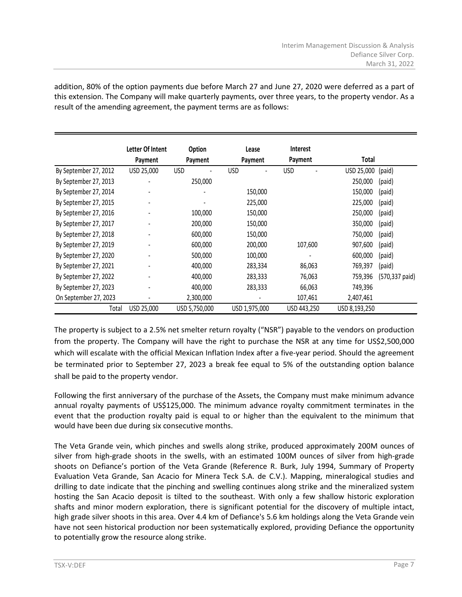|                       | Letter Of Intent | <b>Option</b> | Lease         | <b>Interest</b> |               |                |
|-----------------------|------------------|---------------|---------------|-----------------|---------------|----------------|
|                       | Payment          | Payment       | Payment       | Payment         | Total         |                |
| By September 27, 2012 | USD 25,000       | <b>USD</b>    | <b>USD</b>    | <b>USD</b>      | USD 25,000    | (paid)         |
| By September 27, 2013 |                  | 250,000       |               |                 | 250,000       | (paid)         |
| By September 27, 2014 |                  |               | 150,000       |                 | 150,000       | (paid)         |
| By September 27, 2015 |                  |               | 225,000       |                 | 225,000       | (paid)         |
| By September 27, 2016 |                  | 100,000       | 150,000       |                 | 250,000       | (paid)         |
| By September 27, 2017 |                  | 200,000       | 150,000       |                 | 350,000       | (paid)         |
| By September 27, 2018 |                  | 600,000       | 150,000       |                 | 750,000       | (paid)         |
| By September 27, 2019 |                  | 600,000       | 200,000       | 107,600         | 907,600       | (paid)         |
| By September 27, 2020 |                  | 500,000       | 100,000       |                 | 600,000       | (paid)         |
| By September 27, 2021 |                  | 400,000       | 283,334       | 86,063          | 769,397       | (paid)         |
| By September 27, 2022 |                  | 400,000       | 283,333       | 76,063          | 759,396       | (570,337 paid) |
| By September 27, 2023 |                  | 400,000       | 283,333       | 66,063          | 749,396       |                |
| On September 27, 2023 |                  | 2,300,000     |               | 107,461         | 2,407,461     |                |
| Total                 | USD 25,000       | USD 5,750,000 | USD 1,975,000 | USD 443,250     | USD 8,193,250 |                |

addition, 80% of the option payments due before March 27 and June 27, 2020 were deferred as a part of this extension. The Company will make quarterly payments, over three years, to the property vendor. As a result of the amending agreement, the payment terms are as follows:

The property is subject to a 2.5% net smelter return royalty ("NSR") payable to the vendors on production from the property. The Company will have the right to purchase the NSR at any time for US\$2,500,000 which will escalate with the official Mexican Inflation Index after a five-year period. Should the agreement be terminated prior to September 27, 2023 a break fee equal to 5% of the outstanding option balance shall be paid to the property vendor.

Following the first anniversary of the purchase of the Assets, the Company must make minimum advance annual royalty payments of US\$125,000. The minimum advance royalty commitment terminates in the event that the production royalty paid is equal to or higher than the equivalent to the minimum that would have been due during six consecutive months.

The Veta Grande vein, which pinches and swells along strike, produced approximately 200M ounces of silver from high-grade shoots in the swells, with an estimated 100M ounces of silver from high-grade shoots on Defiance's portion of the Veta Grande (Reference R. Burk, July 1994, Summary of Property Evaluation Veta Grande, San Acacio for Minera Teck S.A. de C.V.). Mapping, mineralogical studies and drilling to date indicate that the pinching and swelling continues along strike and the mineralized system hosting the San Acacio deposit is tilted to the southeast. With only a few shallow historic exploration shafts and minor modern exploration, there is significant potential for the discovery of multiple intact, high grade silver shoots in this area. Over 4.4 km of Defiance's 5.6 km holdings along the Veta Grande vein have not seen historical production nor been systematically explored, providing Defiance the opportunity to potentially grow the resource along strike.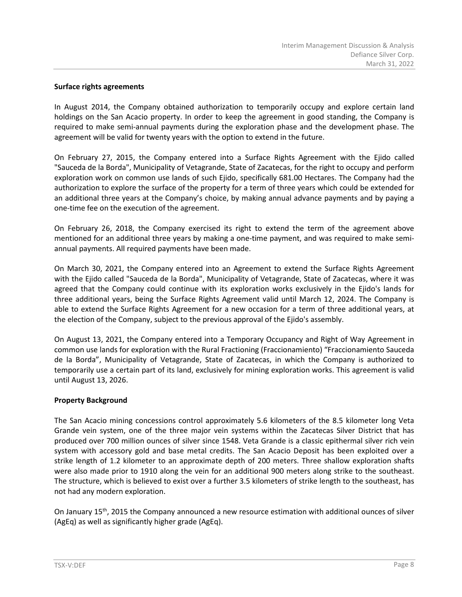#### **Surface rights agreements**

In August 2014, the Company obtained authorization to temporarily occupy and explore certain land holdings on the San Acacio property. In order to keep the agreement in good standing, the Company is required to make semi-annual payments during the exploration phase and the development phase. The agreement will be valid for twenty years with the option to extend in the future.

On February 27, 2015, the Company entered into a Surface Rights Agreement with the Ejido called "Sauceda de la Borda", Municipality of Vetagrande, State of Zacatecas, for the right to occupy and perform exploration work on common use lands of such Ejido, specifically 681.00 Hectares. The Company had the authorization to explore the surface of the property for a term of three years which could be extended for an additional three years at the Company's choice, by making annual advance payments and by paying a one-time fee on the execution of the agreement.

On February 26, 2018, the Company exercised its right to extend the term of the agreement above mentioned for an additional three years by making a one-time payment, and was required to make semiannual payments. All required payments have been made.

On March 30, 2021, the Company entered into an Agreement to extend the Surface Rights Agreement with the Ejido called "Sauceda de la Borda", Municipality of Vetagrande, State of Zacatecas, where it was agreed that the Company could continue with its exploration works exclusively in the Ejido's lands for three additional years, being the Surface Rights Agreement valid until March 12, 2024. The Company is able to extend the Surface Rights Agreement for a new occasion for a term of three additional years, at the election of the Company, subject to the previous approval of the Ejido's assembly.

On August 13, 2021, the Company entered into a Temporary Occupancy and Right of Way Agreement in common use lands for exploration with the Rural Fractioning (Fraccionamiento) "Fraccionamiento Sauceda de la Borda", Municipality of Vetagrande, State of Zacatecas, in which the Company is authorized to temporarily use a certain part of its land, exclusively for mining exploration works. This agreement is valid until August 13, 2026.

#### **Property Background**

The San Acacio mining concessions control approximately 5.6 kilometers of the 8.5 kilometer long Veta Grande vein system, one of the three major vein systems within the Zacatecas Silver District that has produced over 700 million ounces of silver since 1548. Veta Grande is a classic epithermal silver rich vein system with accessory gold and base metal credits. The San Acacio Deposit has been exploited over a strike length of 1.2 kilometer to an approximate depth of 200 meters. Three shallow exploration shafts were also made prior to 1910 along the vein for an additional 900 meters along strike to the southeast. The structure, which is believed to exist over a further 3.5 kilometers of strike length to the southeast, has not had any modern exploration.

On January 15th, 2015 the Company announced a new resource estimation with additional ounces of silver (AgEq) as well as significantly higher grade (AgEq).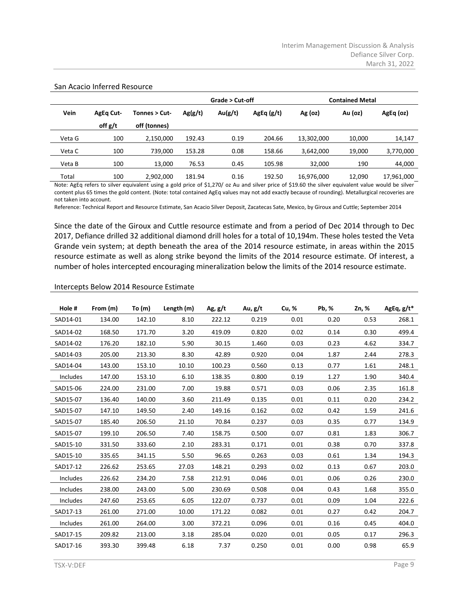|        |                  |               |         | Grade > Cut-off |           | <b>Contained Metal</b> |         |            |  |
|--------|------------------|---------------|---------|-----------------|-----------|------------------------|---------|------------|--|
| Vein   | <b>AgEq Cut-</b> | Tonnes > Cut- | Ag(g/t) | Au(g/t)         | AgEq(g/t) | $Ag$ (oz)              | Au (oz) | AgEq (oz)  |  |
|        | off g/t          | off (tonnes)  |         |                 |           |                        |         |            |  |
| Veta G | 100              | 2,150,000     | 192.43  | 0.19            | 204.66    | 13,302,000             | 10,000  | 14,147     |  |
| Veta C | 100              | 739.000       | 153.28  | 0.08            | 158.66    | 3,642,000              | 19,000  | 3,770,000  |  |
| Veta B | 100              | 13.000        | 76.53   | 0.45            | 105.98    | 32,000                 | 190     | 44,000     |  |
| Total  | 100              | 2,902,000     | 181.94  | 0.16            | 192.50    | 16,976,000             | 12,090  | 17,961,000 |  |

#### San Acacio Inferred Resource

Note: AgEq refers to silver equivalent using a gold price of \$1,270/ oz Au and silver price of \$19.60 the silver equivalent value would be silver content plus 65 times the gold content. (Note: total contained AgEq values may not add exactly because of rounding). Metallurgical recoveries are not taken into account.

Reference: Technical Report and Resource Estimate, San Acacio Silver Deposit, Zacatecas Sate, Mexico, by Giroux and Cuttle; September 2014

Since the date of the Giroux and Cuttle resource estimate and from a period of Dec 2014 through to Dec 2017, Defiance drilled 32 additional diamond drill holes for a total of 10,194m. These holes tested the Veta Grande vein system; at depth beneath the area of the 2014 resource estimate, in areas within the 2015 resource estimate as well as along strike beyond the limits of the 2014 resource estimate. Of interest, a number of holes intercepted encouraging mineralization below the limits of the 2014 resource estimate.

#### Intercepts Below 2014 Resource Estimate

| Hole #   | From (m) | To $(m)$ | Length (m) | Ag, $g/t$ | Au, g/t | Cu, % | Pb, % | Zn, % | AgEq, $g/t^*$ |
|----------|----------|----------|------------|-----------|---------|-------|-------|-------|---------------|
| SAD14-01 | 134.00   | 142.10   | 8.10       | 222.12    | 0.219   | 0.01  | 0.20  | 0.53  | 268.1         |
| SAD14-02 | 168.50   | 171.70   | 3.20       | 419.09    | 0.820   | 0.02  | 0.14  | 0.30  | 499.4         |
| SAD14-02 | 176.20   | 182.10   | 5.90       | 30.15     | 1.460   | 0.03  | 0.23  | 4.62  | 334.7         |
| SAD14-03 | 205.00   | 213.30   | 8.30       | 42.89     | 0.920   | 0.04  | 1.87  | 2.44  | 278.3         |
| SAD14-04 | 143.00   | 153.10   | 10.10      | 100.23    | 0.560   | 0.13  | 0.77  | 1.61  | 248.1         |
| Includes | 147.00   | 153.10   | 6.10       | 138.35    | 0.800   | 0.19  | 1.27  | 1.90  | 340.4         |
| SAD15-06 | 224.00   | 231.00   | 7.00       | 19.88     | 0.571   | 0.03  | 0.06  | 2.35  | 161.8         |
| SAD15-07 | 136.40   | 140.00   | 3.60       | 211.49    | 0.135   | 0.01  | 0.11  | 0.20  | 234.2         |
| SAD15-07 | 147.10   | 149.50   | 2.40       | 149.16    | 0.162   | 0.02  | 0.42  | 1.59  | 241.6         |
| SAD15-07 | 185.40   | 206.50   | 21.10      | 70.84     | 0.237   | 0.03  | 0.35  | 0.77  | 134.9         |
| SAD15-07 | 199.10   | 206.50   | 7.40       | 158.75    | 0.500   | 0.07  | 0.81  | 1.83  | 306.7         |
| SAD15-10 | 331.50   | 333.60   | 2.10       | 283.31    | 0.171   | 0.01  | 0.38  | 0.70  | 337.8         |
| SAD15-10 | 335.65   | 341.15   | 5.50       | 96.65     | 0.263   | 0.03  | 0.61  | 1.34  | 194.3         |
| SAD17-12 | 226.62   | 253.65   | 27.03      | 148.21    | 0.293   | 0.02  | 0.13  | 0.67  | 203.0         |
| Includes | 226.62   | 234.20   | 7.58       | 212.91    | 0.046   | 0.01  | 0.06  | 0.26  | 230.0         |
| Includes | 238.00   | 243.00   | 5.00       | 230.69    | 0.508   | 0.04  | 0.43  | 1.68  | 355.0         |
| Includes | 247.60   | 253.65   | 6.05       | 122.07    | 0.737   | 0.01  | 0.09  | 1.04  | 222.6         |
| SAD17-13 | 261.00   | 271.00   | 10.00      | 171.22    | 0.082   | 0.01  | 0.27  | 0.42  | 204.7         |
| Includes | 261.00   | 264.00   | 3.00       | 372.21    | 0.096   | 0.01  | 0.16  | 0.45  | 404.0         |
| SAD17-15 | 209.82   | 213.00   | 3.18       | 285.04    | 0.020   | 0.01  | 0.05  | 0.17  | 296.3         |
| SAD17-16 | 393.30   | 399.48   | 6.18       | 7.37      | 0.250   | 0.01  | 0.00  | 0.98  | 65.9          |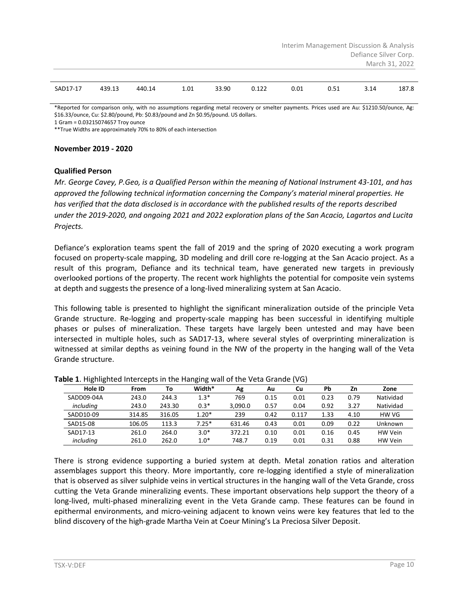|          |        |        |      |       |       | Interim Management Discussion & Analysis |      |                       |                |  |  |  |  |
|----------|--------|--------|------|-------|-------|------------------------------------------|------|-----------------------|----------------|--|--|--|--|
|          |        |        |      |       |       |                                          |      | Defiance Silver Corp. |                |  |  |  |  |
|          |        |        |      |       |       |                                          |      |                       | March 31, 2022 |  |  |  |  |
|          |        |        |      |       |       |                                          |      |                       |                |  |  |  |  |
| SAD17-17 | 439.13 | 440.14 | 1.01 | 33.90 | 0.122 | 0.01                                     | 0.51 | 3.14                  | 187.8          |  |  |  |  |

\*Reported for comparison only, with no assumptions regarding metal recovery or smelter payments. Prices used are Au: \$1210.50/ounce, Ag: \$16.33/ounce, Cu: \$2.80/pound, Pb: \$0.83/pound and Zn \$0.95/pound. US dollars.

1 Gram = 0.03215074657 Troy ounce \*\*True Widths are approximately 70% to 80% of each intersection

#### **November 2019 - 2020**

#### **Qualified Person**

*Mr. George Cavey, P.Geo, is a Qualified Person within the meaning of National Instrument 43-101, and has approved the following technical information concerning the Company's material mineral properties. He has verified that the data disclosed is in accordance with the published results of the reports described under the 2019-2020, and ongoing 2021 and 2022 exploration plans of the San Acacio, Lagartos and Lucita Projects.*

Defiance's exploration teams spent the fall of 2019 and the spring of 2020 executing a work program focused on property-scale mapping, 3D modeling and drill core re-logging at the San Acacio project. As a result of this program, Defiance and its technical team, have generated new targets in previously overlooked portions of the property. The recent work highlights the potential for composite vein systems at depth and suggests the presence of a long-lived mineralizing system at San Acacio.

This following table is presented to highlight the significant mineralization outside of the principle Veta Grande structure. Re-logging and property-scale mapping has been successful in identifying multiple phases or pulses of mineralization. These targets have largely been untested and may have been intersected in multiple holes, such as SAD17-13, where several styles of overprinting mineralization is witnessed at similar depths as veining found in the NW of the property in the hanging wall of the Veta Grande structure.

| asic <b>*</b> in interest interested in the nanging wanter the veta oranac (vo) |        |        |         |         |      |       |      |      |           |
|---------------------------------------------------------------------------------|--------|--------|---------|---------|------|-------|------|------|-----------|
| Hole ID                                                                         | From   | Тο     | Width*  | Αg      | Au   | Cu    | Pb   | Zn   | Zone      |
| SADD09-04A                                                                      | 243.0  | 244.3  | $1.3*$  | 769     | 0.15 | 0.01  | 0.23 | 0.79 | Natividad |
| including                                                                       | 243.0  | 243.30 | $0.3*$  | 3.090.0 | 0.57 | 0.04  | 0.92 | 3.27 | Natividad |
| SADD10-09                                                                       | 314.85 | 316.05 | $1.20*$ | 239     | 0.42 | 0.117 | 1.33 | 4.10 | HW VG     |
| SAD15-08                                                                        | 106.05 | 113.3  | $7.25*$ | 631.46  | 0.43 | 0.01  | 0.09 | 0.22 | Unknown   |
| SAD17-13                                                                        | 261.0  | 264.0  | $3.0*$  | 372.21  | 0.10 | 0.01  | 0.16 | 0.45 | HW Vein   |
| including                                                                       | 261.0  | 262.0  | $1.0*$  | 748.7   | 0.19 | 0.01  | 0.31 | 0.88 | HW Vein   |

#### **Table 1**. Highlighted Intercepts in the Hanging wall of the Veta Grande (VG)

There is strong evidence supporting a buried system at depth. Metal zonation ratios and alteration assemblages support this theory. More importantly, core re-logging identified a style of mineralization that is observed as silver sulphide veins in vertical structures in the hanging wall of the Veta Grande, cross cutting the Veta Grande mineralizing events. These important observations help support the theory of a long-lived, multi-phased mineralizing event in the Veta Grande camp. These features can be found in epithermal environments, and micro-veining adjacent to known veins were key features that led to the blind discovery of the high-grade Martha Vein at Coeur Mining's La Preciosa Silver Deposit.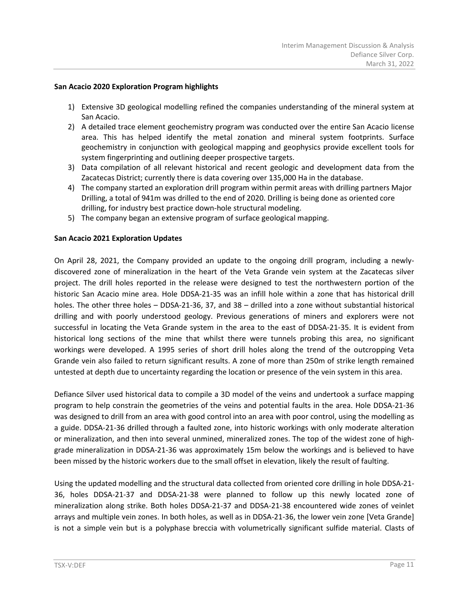#### **San Acacio 2020 Exploration Program highlights**

- 1) Extensive 3D geological modelling refined the companies understanding of the mineral system at San Acacio.
- 2) A detailed trace element geochemistry program was conducted over the entire San Acacio license area. This has helped identify the metal zonation and mineral system footprints. Surface geochemistry in conjunction with geological mapping and geophysics provide excellent tools for system fingerprinting and outlining deeper prospective targets.
- 3) Data compilation of all relevant historical and recent geologic and development data from the Zacatecas District; currently there is data covering over 135,000 Ha in the database.
- 4) The company started an exploration drill program within permit areas with drilling partners Major Drilling, a total of 941m was drilled to the end of 2020. Drilling is being done as oriented core drilling, for industry best practice down-hole structural modeling.
- 5) The company began an extensive program of surface geological mapping.

# **San Acacio 2021 Exploration Updates**

On April 28, 2021, the Company provided an update to the ongoing drill program, including a newlydiscovered zone of mineralization in the heart of the Veta Grande vein system at the Zacatecas silver project. The drill holes reported in the release were designed to test the northwestern portion of the historic San Acacio mine area. Hole DDSA-21-35 was an infill hole within a zone that has historical drill holes. The other three holes – DDSA-21-36, 37, and 38 – drilled into a zone without substantial historical drilling and with poorly understood geology. Previous generations of miners and explorers were not successful in locating the Veta Grande system in the area to the east of DDSA-21-35. It is evident from historical long sections of the mine that whilst there were tunnels probing this area, no significant workings were developed. A 1995 series of short drill holes along the trend of the outcropping Veta Grande vein also failed to return significant results. A zone of more than 250m of strike length remained untested at depth due to uncertainty regarding the location or presence of the vein system in this area.

Defiance Silver used historical data to compile a 3D model of the veins and undertook a surface mapping program to help constrain the geometries of the veins and potential faults in the area. Hole DDSA-21-36 was designed to drill from an area with good control into an area with poor control, using the modelling as a guide. DDSA-21-36 drilled through a faulted zone, into historic workings with only moderate alteration or mineralization, and then into several unmined, mineralized zones. The top of the widest zone of highgrade mineralization in DDSA-21-36 was approximately 15m below the workings and is believed to have been missed by the historic workers due to the small offset in elevation, likely the result of faulting.

Using the updated modelling and the structural data collected from oriented core drilling in hole DDSA-21- 36, holes DDSA-21-37 and DDSA-21-38 were planned to follow up this newly located zone of mineralization along strike. Both holes DDSA-21-37 and DDSA-21-38 encountered wide zones of veinlet arrays and multiple vein zones. In both holes, as well as in DDSA-21-36, the lower vein zone [Veta Grande] is not a simple vein but is a polyphase breccia with volumetrically significant sulfide material. Clasts of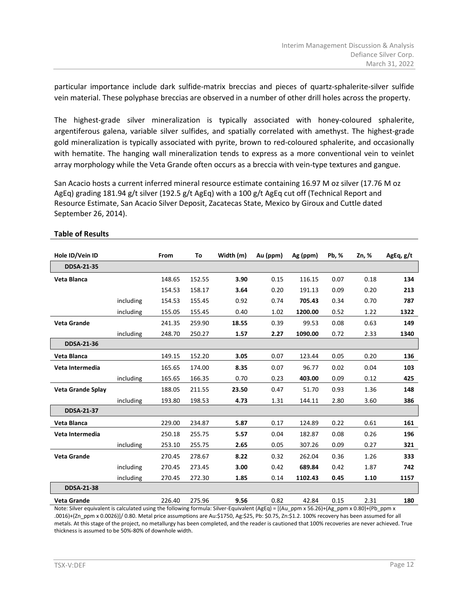particular importance include dark sulfide-matrix breccias and pieces of quartz-sphalerite-silver sulfide vein material. These polyphase breccias are observed in a number of other drill holes across the property.

The highest-grade silver mineralization is typically associated with honey-coloured sphalerite, argentiferous galena, variable silver sulfides, and spatially correlated with amethyst. The highest-grade gold mineralization is typically associated with pyrite, brown to red-coloured sphalerite, and occasionally with hematite. The hanging wall mineralization tends to express as a more conventional vein to veinlet array morphology while the Veta Grande often occurs as a breccia with vein-type textures and gangue.

San Acacio hosts a current inferred mineral resource estimate containing 16.97 M oz silver (17.76 M oz AgEq) grading 181.94 g/t silver (192.5 g/t AgEq) with a 100 g/t AgEq cut off (Technical Report and Resource Estimate, San Acacio Silver Deposit, Zacatecas State, Mexico by Giroux and Cuttle dated September 26, 2014).

| Hole ID/Vein ID          |           | From   | To     | Width (m) | Au (ppm) | Ag (ppm) | Pb, % | Zn, % | AgEq, g/t |
|--------------------------|-----------|--------|--------|-----------|----------|----------|-------|-------|-----------|
| <b>DDSA-21-35</b>        |           |        |        |           |          |          |       |       |           |
| Veta Blanca              |           | 148.65 | 152.55 | 3.90      | 0.15     | 116.15   | 0.07  | 0.18  | 134       |
|                          |           | 154.53 | 158.17 | 3.64      | 0.20     | 191.13   | 0.09  | 0.20  | 213       |
|                          | including | 154.53 | 155.45 | 0.92      | 0.74     | 705.43   | 0.34  | 0.70  | 787       |
|                          | including | 155.05 | 155.45 | 0.40      | 1.02     | 1200.00  | 0.52  | 1.22  | 1322      |
| <b>Veta Grande</b>       |           | 241.35 | 259.90 | 18.55     | 0.39     | 99.53    | 0.08  | 0.63  | 149       |
|                          | including | 248.70 | 250.27 | 1.57      | 2.27     | 1090.00  | 0.72  | 2.33  | 1340      |
| <b>DDSA-21-36</b>        |           |        |        |           |          |          |       |       |           |
| Veta Blanca              |           | 149.15 | 152.20 | 3.05      | 0.07     | 123.44   | 0.05  | 0.20  | 136       |
| Veta Intermedia          |           | 165.65 | 174.00 | 8.35      | 0.07     | 96.77    | 0.02  | 0.04  | 103       |
|                          | including | 165.65 | 166.35 | 0.70      | 0.23     | 403.00   | 0.09  | 0.12  | 425       |
| <b>Veta Grande Splay</b> |           | 188.05 | 211.55 | 23.50     | 0.47     | 51.70    | 0.93  | 1.36  | 148       |
|                          | including | 193.80 | 198.53 | 4.73      | 1.31     | 144.11   | 2.80  | 3.60  | 386       |
| <b>DDSA-21-37</b>        |           |        |        |           |          |          |       |       |           |
| Veta Blanca              |           | 229.00 | 234.87 | 5.87      | 0.17     | 124.89   | 0.22  | 0.61  | 161       |
| Veta Intermedia          |           | 250.18 | 255.75 | 5.57      | 0.04     | 182.87   | 0.08  | 0.26  | 196       |
|                          | including | 253.10 | 255.75 | 2.65      | 0.05     | 307.26   | 0.09  | 0.27  | 321       |
| <b>Veta Grande</b>       |           | 270.45 | 278.67 | 8.22      | 0.32     | 262.04   | 0.36  | 1.26  | 333       |
|                          | including | 270.45 | 273.45 | 3.00      | 0.42     | 689.84   | 0.42  | 1.87  | 742       |
|                          | including | 270.45 | 272.30 | 1.85      | 0.14     | 1102.43  | 0.45  | 1.10  | 1157      |
| <b>DDSA-21-38</b>        |           |        |        |           |          |          |       |       |           |
| <b>Veta Grande</b>       |           | 226.40 | 275.96 | 9.56      | 0.82     | 42.84    | 0.15  | 2.31  | 180       |

#### **Table of Results**

Note: Silver equivalent is calculated using the following formula: Silver-Equivalent (AgEq) = [(Au\_ppm x 56.26)+(Ag\_ppm x 0.80)+(Pb\_ppm x .0016)+(Zn\_ppm x 0.0026)]/ 0.80. Metal price assumptions are Au:\$1750, Ag:\$25, Pb: \$0.75, Zn:\$1.2. 100% recovery has been assumed for all metals. At this stage of the project, no metallurgy has been completed, and the reader is cautioned that 100% recoveries are never achieved. True thickness is assumed to be 50%-80% of downhole width.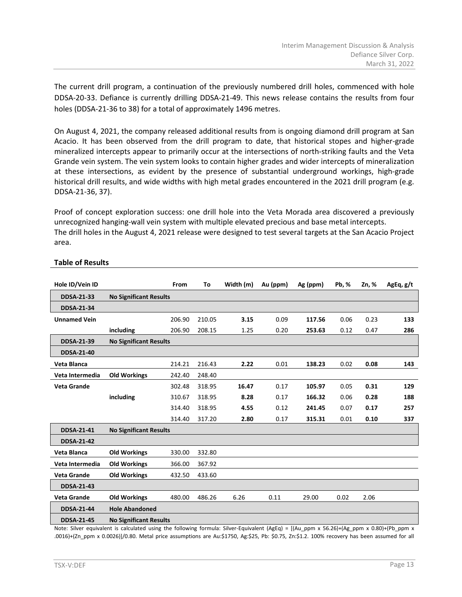The current drill program, a continuation of the previously numbered drill holes, commenced with hole DDSA-20-33. Defiance is currently drilling DDSA-21-49. This news release contains the results from four holes (DDSA-21-36 to 38) for a total of approximately 1496 metres.

On August 4, 2021, the company released additional results from is ongoing diamond drill program at San Acacio. It has been observed from the drill program to date, that historical stopes and higher-grade mineralized intercepts appear to primarily occur at the intersections of north-striking faults and the Veta Grande vein system. The vein system looks to contain higher grades and wider intercepts of mineralization at these intersections, as evident by the presence of substantial underground workings, high-grade historical drill results, and wide widths with high metal grades encountered in the 2021 drill program (e.g. DDSA-21-36, 37).

Proof of concept exploration success: one drill hole into the Veta Morada area discovered a previously unrecognized hanging-wall vein system with multiple elevated precious and base metal intercepts. The drill holes in the August 4, 2021 release were designed to test several targets at the San Acacio Project area.

| Hole ID/Vein ID     |                               | <b>From</b> | To     | Width (m) | Au (ppm) | Ag (ppm) | Pb, % | Zn, % | AgEq, g/t |
|---------------------|-------------------------------|-------------|--------|-----------|----------|----------|-------|-------|-----------|
| <b>DDSA-21-33</b>   | <b>No Significant Results</b> |             |        |           |          |          |       |       |           |
| <b>DDSA-21-34</b>   |                               |             |        |           |          |          |       |       |           |
| <b>Unnamed Vein</b> |                               | 206.90      | 210.05 | 3.15      | 0.09     | 117.56   | 0.06  | 0.23  | 133       |
|                     | including                     | 206.90      | 208.15 | 1.25      | 0.20     | 253.63   | 0.12  | 0.47  | 286       |
| <b>DDSA-21-39</b>   | <b>No Significant Results</b> |             |        |           |          |          |       |       |           |
| <b>DDSA-21-40</b>   |                               |             |        |           |          |          |       |       |           |
| Veta Blanca         |                               | 214.21      | 216.43 | 2.22      | 0.01     | 138.23   | 0.02  | 0.08  | 143       |
| Veta Intermedia     | <b>Old Workings</b>           | 242.40      | 248.40 |           |          |          |       |       |           |
| <b>Veta Grande</b>  |                               | 302.48      | 318.95 | 16.47     | 0.17     | 105.97   | 0.05  | 0.31  | 129       |
|                     | including                     | 310.67      | 318.95 | 8.28      | 0.17     | 166.32   | 0.06  | 0.28  | 188       |
|                     |                               | 314.40      | 318.95 | 4.55      | 0.12     | 241.45   | 0.07  | 0.17  | 257       |
|                     |                               | 314.40      | 317.20 | 2.80      | 0.17     | 315.31   | 0.01  | 0.10  | 337       |
| <b>DDSA-21-41</b>   | <b>No Significant Results</b> |             |        |           |          |          |       |       |           |
| <b>DDSA-21-42</b>   |                               |             |        |           |          |          |       |       |           |
| Veta Blanca         | <b>Old Workings</b>           | 330.00      | 332.80 |           |          |          |       |       |           |
| Veta Intermedia     | <b>Old Workings</b>           | 366.00      | 367.92 |           |          |          |       |       |           |
| <b>Veta Grande</b>  | <b>Old Workings</b>           | 432.50      | 433.60 |           |          |          |       |       |           |
| <b>DDSA-21-43</b>   |                               |             |        |           |          |          |       |       |           |
| <b>Veta Grande</b>  | <b>Old Workings</b>           | 480.00      | 486.26 | 6.26      | 0.11     | 29.00    | 0.02  | 2.06  |           |
| <b>DDSA-21-44</b>   | <b>Hole Abandoned</b>         |             |        |           |          |          |       |       |           |
| <b>DDSA-21-45</b>   | <b>No Significant Results</b> |             |        |           |          |          |       |       |           |

# **Table of Results**

Note: Silver equivalent is calculated using the following formula: Silver-Equivalent (AgEq) = [(Au\_ppm x 56.26)+(Ag\_ppm x 0.80)+(Pb\_ppm x .0016)+(Zn\_ppm x 0.0026)]/0.80. Metal price assumptions are Au:\$1750, Ag:\$25, Pb: \$0.75, Zn:\$1.2. 100% recovery has been assumed for all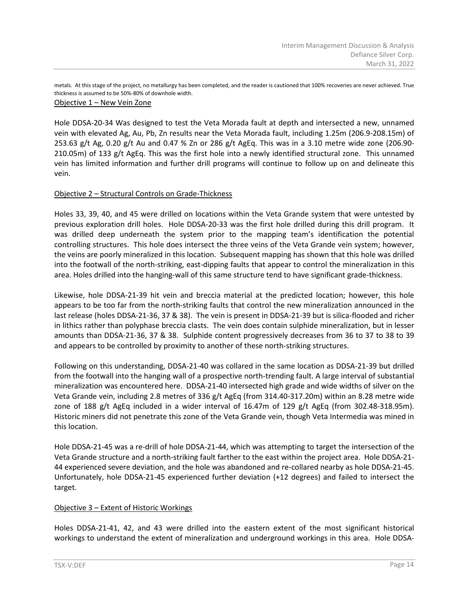metals. At this stage of the project, no metallurgy has been completed, and the reader is cautioned that 100% recoveries are never achieved. True thickness is assumed to be 50%-80% of downhole width.

# Objective 1 – New Vein Zone

Hole DDSA-20-34 Was designed to test the Veta Morada fault at depth and intersected a new, unnamed vein with elevated Ag, Au, Pb, Zn results near the Veta Morada fault, including 1.25m (206.9-208.15m) of 253.63 g/t Ag, 0.20 g/t Au and 0.47 % Zn or 286 g/t AgEq. This was in a 3.10 metre wide zone (206.90- 210.05m) of 133 g/t AgEq. This was the first hole into a newly identified structural zone. This unnamed vein has limited information and further drill programs will continue to follow up on and delineate this vein.

# Objective 2 – Structural Controls on Grade-Thickness

Holes 33, 39, 40, and 45 were drilled on locations within the Veta Grande system that were untested by previous exploration drill holes. Hole DDSA-20-33 was the first hole drilled during this drill program. It was drilled deep underneath the system prior to the mapping team's identification the potential controlling structures. This hole does intersect the three veins of the Veta Grande vein system; however, the veins are poorly mineralized in this location. Subsequent mapping has shown that this hole was drilled into the footwall of the north-striking, east-dipping faults that appear to control the mineralization in this area. Holes drilled into the hanging-wall of this same structure tend to have significant grade-thickness.

Likewise, hole DDSA-21-39 hit vein and breccia material at the predicted location; however, this hole appears to be too far from the north-striking faults that control the new mineralization announced in the last release (holes DDSA-21-36, 37 & 38). The vein is present in DDSA-21-39 but is silica-flooded and richer in lithics rather than polyphase breccia clasts. The vein does contain sulphide mineralization, but in lesser amounts than DDSA-21-36, 37 & 38. Sulphide content progressively decreases from 36 to 37 to 38 to 39 and appears to be controlled by proximity to another of these north-striking structures.

Following on this understanding, DDSA-21-40 was collared in the same location as DDSA-21-39 but drilled from the footwall into the hanging wall of a prospective north-trending fault. A large interval of substantial mineralization was encountered here. DDSA-21-40 intersected high grade and wide widths of silver on the Veta Grande vein, including 2.8 metres of 336 g/t AgEq (from 314.40-317.20m) within an 8.28 metre wide zone of 188 g/t AgEq included in a wider interval of 16.47m of 129 g/t AgEq (from 302.48-318.95m). Historic miners did not penetrate this zone of the Veta Grande vein, though Veta Intermedia was mined in this location.

Hole DDSA-21-45 was a re-drill of hole DDSA-21-44, which was attempting to target the intersection of the Veta Grande structure and a north-striking fault farther to the east within the project area. Hole DDSA-21- 44 experienced severe deviation, and the hole was abandoned and re-collared nearby as hole DDSA-21-45. Unfortunately, hole DDSA-21-45 experienced further deviation (+12 degrees) and failed to intersect the target.

# Objective 3 – Extent of Historic Workings

Holes DDSA-21-41, 42, and 43 were drilled into the eastern extent of the most significant historical workings to understand the extent of mineralization and underground workings in this area. Hole DDSA-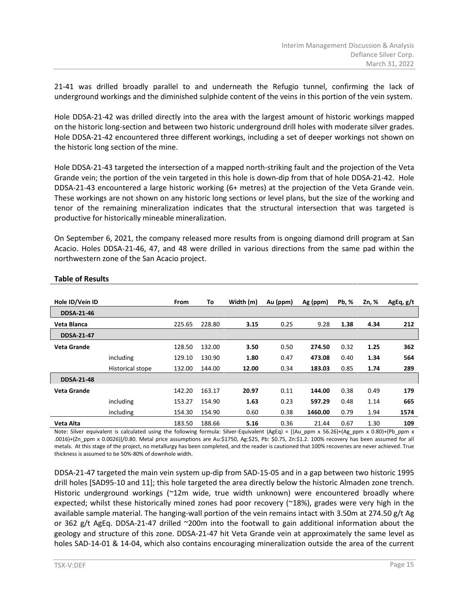21-41 was drilled broadly parallel to and underneath the Refugio tunnel, confirming the lack of underground workings and the diminished sulphide content of the veins in this portion of the vein system.

Hole DDSA-21-42 was drilled directly into the area with the largest amount of historic workings mapped on the historic long-section and between two historic underground drill holes with moderate silver grades. Hole DDSA-21-42 encountered three different workings, including a set of deeper workings not shown on the historic long section of the mine.

Hole DDSA-21-43 targeted the intersection of a mapped north-striking fault and the projection of the Veta Grande vein; the portion of the vein targeted in this hole is down-dip from that of hole DDSA-21-42. Hole DDSA-21-43 encountered a large historic working (6+ metres) at the projection of the Veta Grande vein. These workings are not shown on any historic long sections or level plans, but the size of the working and tenor of the remaining mineralization indicates that the structural intersection that was targeted is productive for historically mineable mineralization.

On September 6, 2021, the company released more results from is ongoing diamond drill program at San Acacio. Holes DDSA-21-46, 47, and 48 were drilled in various directions from the same pad within the northwestern zone of the San Acacio project.

| Hole ID/Vein ID   |                  | <b>From</b> | To     | Width (m) | Au (ppm) | Ag (ppm) | <b>Pb, %</b> | Zn, % | AgEq, g/t |
|-------------------|------------------|-------------|--------|-----------|----------|----------|--------------|-------|-----------|
| <b>DDSA-21-46</b> |                  |             |        |           |          |          |              |       |           |
| Veta Blanca       |                  | 225.65      | 228.80 | 3.15      | 0.25     | 9.28     | 1.38         | 4.34  | 212       |
| <b>DDSA-21-47</b> |                  |             |        |           |          |          |              |       |           |
| Veta Grande       |                  | 128.50      | 132.00 | 3.50      | 0.50     | 274.50   | 0.32         | 1.25  | 362       |
|                   | including        | 129.10      | 130.90 | 1.80      | 0.47     | 473.08   | 0.40         | 1.34  | 564       |
|                   | Historical stope | 132.00      | 144.00 | 12.00     | 0.34     | 183.03   | 0.85         | 1.74  | 289       |
| <b>DDSA-21-48</b> |                  |             |        |           |          |          |              |       |           |
| Veta Grande       |                  | 142.20      | 163.17 | 20.97     | 0.11     | 144.00   | 0.38         | 0.49  | 179       |
|                   | including        | 153.27      | 154.90 | 1.63      | 0.23     | 597.29   | 0.48         | 1.14  | 665       |
|                   | including        | 154.30      | 154.90 | 0.60      | 0.38     | 1460.00  | 0.79         | 1.94  | 1574      |
| Veta Alta         |                  | 183.50      | 188.66 | 5.16      | 0.36     | 21.44    | 0.67         | 1.30  | 109       |

#### **Table of Results**

Note: Silver equivalent is calculated using the following formula: Silver-Equivalent (AgEq) = [(Au\_ppm x 56.26)+(Ag\_ppm x 0.80)+(Pb\_ppm x .0016)+(Zn\_ppm x 0.0026)]/0.80. Metal price assumptions are Au:\$1750, Ag:\$25, Pb: \$0.75, Zn:\$1.2. 100% recovery has been assumed for all metals. At this stage of the project, no metallurgy has been completed, and the reader is cautioned that 100% recoveries are never achieved. True thickness is assumed to be 50%-80% of downhole width.

DDSA-21-47 targeted the main vein system up-dip from SAD-15-05 and in a gap between two historic 1995 drill holes [SAD95-10 and 11]; this hole targeted the area directly below the historic Almaden zone trench. Historic underground workings (~12m wide, true width unknown) were encountered broadly where expected; whilst these historically mined zones had poor recovery (~18%), grades were very high in the available sample material. The hanging-wall portion of the vein remains intact with 3.50m at 274.50 g/t Ag or 362 g/t AgEq. DDSA-21-47 drilled ~200m into the footwall to gain additional information about the geology and structure of this zone. DDSA-21-47 hit Veta Grande vein at approximately the same level as holes SAD-14-01 & 14-04, which also contains encouraging mineralization outside the area of the current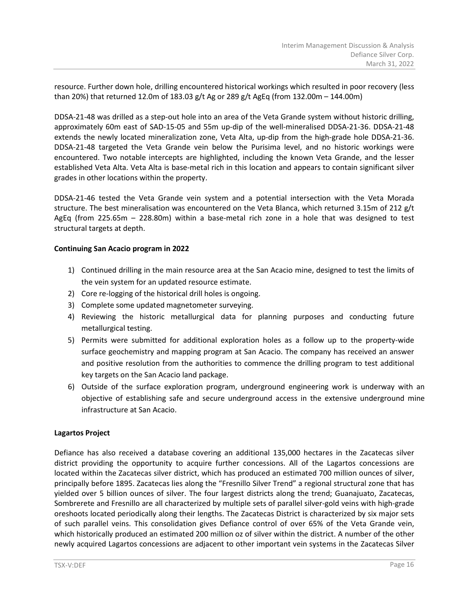resource. Further down hole, drilling encountered historical workings which resulted in poor recovery (less than 20%) that returned 12.0m of 183.03 g/t Ag or 289 g/t AgEq (from 132.00m – 144.00m)

DDSA-21-48 was drilled as a step-out hole into an area of the Veta Grande system without historic drilling, approximately 60m east of SAD-15-05 and 55m up-dip of the well-mineralised DDSA-21-36. DDSA-21-48 extends the newly located mineralization zone, Veta Alta, up-dip from the high-grade hole DDSA-21-36. DDSA-21-48 targeted the Veta Grande vein below the Purisima level, and no historic workings were encountered. Two notable intercepts are highlighted, including the known Veta Grande, and the lesser established Veta Alta. Veta Alta is base-metal rich in this location and appears to contain significant silver grades in other locations within the property.

DDSA-21-46 tested the Veta Grande vein system and a potential intersection with the Veta Morada structure. The best mineralisation was encountered on the Veta Blanca, which returned 3.15m of 212 g/t AgEq (from 225.65m – 228.80m) within a base-metal rich zone in a hole that was designed to test structural targets at depth.

# **Continuing San Acacio program in 2022**

- 1) Continued drilling in the main resource area at the San Acacio mine, designed to test the limits of the vein system for an updated resource estimate.
- 2) Core re-logging of the historical drill holes is ongoing.
- 3) Complete some updated magnetometer surveying.
- 4) Reviewing the historic metallurgical data for planning purposes and conducting future metallurgical testing.
- 5) Permits were submitted for additional exploration holes as a follow up to the property-wide surface geochemistry and mapping program at San Acacio. The company has received an answer and positive resolution from the authorities to commence the drilling program to test additional key targets on the San Acacio land package.
- 6) Outside of the surface exploration program, underground engineering work is underway with an objective of establishing safe and secure underground access in the extensive underground mine infrastructure at San Acacio.

# **Lagartos Project**

Defiance has also received a database covering an additional 135,000 hectares in the Zacatecas silver district providing the opportunity to acquire further concessions. All of the Lagartos concessions are located within the Zacatecas silver district, which has produced an estimated 700 million ounces of silver, principally before 1895. Zacatecas lies along the "Fresnillo Silver Trend" a regional structural zone that has yielded over 5 billion ounces of silver. The four largest districts along the trend; Guanajuato, Zacatecas, Sombrerete and Fresnillo are all characterized by multiple sets of parallel silver-gold veins with high-grade oreshoots located periodically along their lengths. The Zacatecas District is characterized by six major sets of such parallel veins. This consolidation gives Defiance control of over 65% of the Veta Grande vein, which historically produced an estimated 200 million oz of silver within the district. A number of the other newly acquired Lagartos concessions are adjacent to other important vein systems in the Zacatecas Silver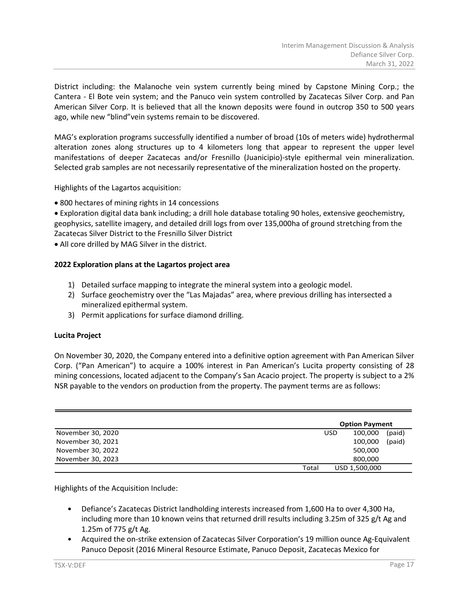District including: the Malanoche vein system currently being mined by Capstone Mining Corp.; the Cantera - El Bote vein system; and the Panuco vein system controlled by Zacatecas Silver Corp. and Pan American Silver Corp. It is believed that all the known deposits were found in outcrop 350 to 500 years ago, while new "blind"vein systems remain to be discovered.

MAG's exploration programs successfully identified a number of broad (10s of meters wide) hydrothermal alteration zones along structures up to 4 kilometers long that appear to represent the upper level manifestations of deeper Zacatecas and/or Fresnillo (Juanicipio)-style epithermal vein mineralization. Selected grab samples are not necessarily representative of the mineralization hosted on the property.

Highlights of the Lagartos acquisition:

• 800 hectares of mining rights in 14 concessions

• Exploration digital data bank including; a drill hole database totaling 90 holes, extensive geochemistry, geophysics, satellite imagery, and detailed drill logs from over 135,000ha of ground stretching from the Zacatecas Silver District to the Fresnillo Silver District

• All core drilled by MAG Silver in the district.

# **2022 Exploration plans at the Lagartos project area**

- 1) Detailed surface mapping to integrate the mineral system into a geologic model.
- 2) Surface geochemistry over the "Las Majadas" area, where previous drilling has intersected a mineralized epithermal system.
- 3) Permit applications for surface diamond drilling.

# **Lucita Project**

On November 30, 2020, the Company entered into a definitive option agreement with Pan American Silver Corp. ("Pan American") to acquire a 100% interest in Pan American's Lucita property consisting of 28 mining concessions, located adjacent to the Company's San Acacio project. The property is subject to a 2% NSR payable to the vendors on production from the property. The payment terms are as follows:

|                   |       |            | <b>Option Payment</b> |        |
|-------------------|-------|------------|-----------------------|--------|
| November 30, 2020 |       | <b>USD</b> | 100,000               | (paid) |
| November 30, 2021 |       |            | 100,000               | (paid) |
| November 30, 2022 |       |            | 500,000               |        |
| November 30, 2023 |       |            | 800,000               |        |
|                   | Total |            | USD 1,500,000         |        |

Highlights of the Acquisition Include:

- Defiance's Zacatecas District landholding interests increased from 1,600 Ha to over 4,300 Ha, including more than 10 known veins that returned drill results including 3.25m of 325 g/t Ag and 1.25m of 775 g/t Ag.
- Acquired the on-strike extension of Zacatecas Silver Corporation's 19 million ounce Ag-Equivalent Panuco Deposit (2016 Mineral Resource Estimate, Panuco Deposit, Zacatecas Mexico for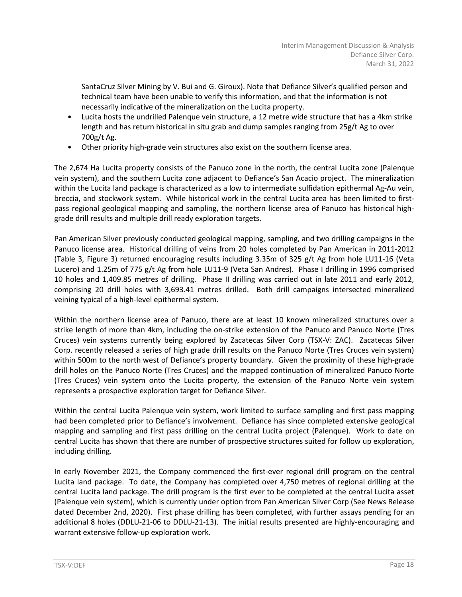SantaCruz Silver Mining by V. Bui and G. Giroux). Note that Defiance Silver's qualified person and technical team have been unable to verify this information, and that the information is not necessarily indicative of the mineralization on the Lucita property.

- Lucita hosts the undrilled Palenque vein structure, a 12 metre wide structure that has a 4km strike length and has return historical in situ grab and dump samples ranging from 25g/t Ag to over 700g/t Ag.
- Other priority high-grade vein structures also exist on the southern license area.

The 2,674 Ha Lucita property consists of the Panuco zone in the north, the central Lucita zone (Palenque vein system), and the southern Lucita zone adjacent to Defiance's San Acacio project. The mineralization within the Lucita land package is characterized as a low to intermediate sulfidation epithermal Ag-Au vein, breccia, and stockwork system. While historical work in the central Lucita area has been limited to firstpass regional geological mapping and sampling, the northern license area of Panuco has historical highgrade drill results and multiple drill ready exploration targets.

Pan American Silver previously conducted geological mapping, sampling, and two drilling campaigns in the Panuco license area. Historical drilling of veins from 20 holes completed by Pan American in 2011-2012 (Table 3, Figure 3) returned encouraging results including 3.35m of 325 g/t Ag from hole LU11-16 (Veta Lucero) and 1.25m of 775 g/t Ag from hole LU11-9 (Veta San Andres). Phase I drilling in 1996 comprised 10 holes and 1,409.85 metres of drilling. Phase II drilling was carried out in late 2011 and early 2012, comprising 20 drill holes with 3,693.41 metres drilled. Both drill campaigns intersected mineralized veining typical of a high-level epithermal system.

Within the northern license area of Panuco, there are at least 10 known mineralized structures over a strike length of more than 4km, including the on-strike extension of the Panuco and Panuco Norte (Tres Cruces) vein systems currently being explored by Zacatecas Silver Corp (TSX-V: ZAC). Zacatecas Silver Corp. recently released a series of high grade drill results on the Panuco Norte (Tres Cruces vein system) within 500m to the north west of Defiance's property boundary. Given the proximity of these high-grade drill holes on the Panuco Norte (Tres Cruces) and the mapped continuation of mineralized Panuco Norte (Tres Cruces) vein system onto the Lucita property, the extension of the Panuco Norte vein system represents a prospective exploration target for Defiance Silver.

Within the central Lucita Palenque vein system, work limited to surface sampling and first pass mapping had been completed prior to Defiance's involvement. Defiance has since completed extensive geological mapping and sampling and first pass drilling on the central Lucita project (Palenque). Work to date on central Lucita has shown that there are number of prospective structures suited for follow up exploration, including drilling.

In early November 2021, the Company commenced the first-ever regional drill program on the central Lucita land package. To date, the Company has completed over 4,750 metres of regional drilling at the central Lucita land package. The drill program is the first ever to be completed at the central Lucita asset (Palenque vein system), which is currently under option from Pan American Silver Corp (See [News Release](https://defiancesilver.com/news/defiance-acquires-option-on-pan-american-silver-s-lucita-property-significantly-expands-zacatecas-projects) dated December 2nd, 2020). First phase drilling has been completed, with further assays pending for an additional 8 holes (DDLU-21-06 to DDLU-21-13). The initial results presented are highly-encouraging and warrant extensive follow-up exploration work.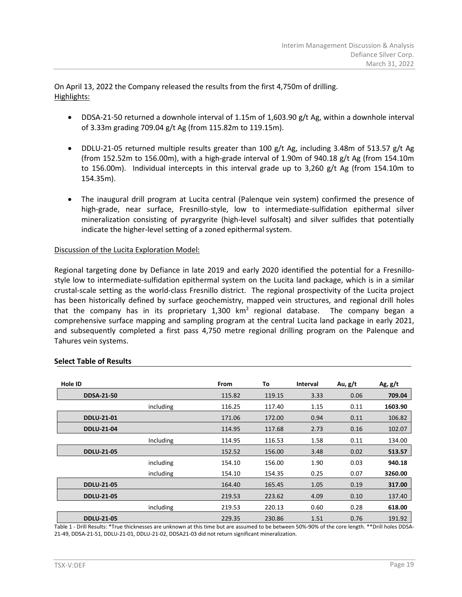On April 13, 2022 the Company released the results from the first 4,750m of drilling. Highlights:

- DDSA-21-50 returned a downhole interval of 1.15m of 1,603.90 g/t Ag, within a downhole interval of 3.33m grading 709.04 g/t Ag (from 115.82m to 119.15m).
- DDLU-21-05 returned multiple results greater than 100 g/t Ag, including 3.48m of 513.57 g/t Ag (from 152.52m to 156.00m), with a high-grade interval of 1.90m of 940.18 g/t Ag (from 154.10m to 156.00m). Individual intercepts in this interval grade up to 3,260 g/t Ag (from 154.10m to 154.35m).
- The inaugural drill program at Lucita central (Palenque vein system) confirmed the presence of high-grade, near surface, Fresnillo-style, low to intermediate-sulfidation epithermal silver mineralization consisting of pyrargyrite (high-level sulfosalt) and silver sulfides that potentially indicate the higher-level setting of a zoned epithermal system.

# Discussion of the Lucita Exploration Model:

Regional targeting done by Defiance in late 2019 and early 2020 identified the potential for a Fresnillostyle low to intermediate-sulfidation epithermal system on the Lucita land package, which is in a similar crustal-scale setting as the world-class Fresnillo district. The regional prospectivity of the Lucita project has been historically defined by surface geochemistry, mapped vein structures, and regional drill holes that the company has in its proprietary  $1,300 \, \text{km}^2$  regional database. The company began a comprehensive surface mapping and sampling program at the central Lucita land package in early 2021, and subsequently completed a first pass 4,750 metre regional drilling program on the Palenque and Tahures vein systems.

| Hole ID           |           | From   | To     | <b>Interval</b> | Au, g/t | Ag, $g/t$ |
|-------------------|-----------|--------|--------|-----------------|---------|-----------|
| <b>DDSA-21-50</b> |           | 115.82 | 119.15 | 3.33            | 0.06    | 709.04    |
|                   | including | 116.25 | 117.40 | 1.15            | 0.11    | 1603.90   |
| <b>DDLU-21-01</b> |           | 171.06 | 172.00 | 0.94            | 0.11    | 106.82    |
| <b>DDLU-21-04</b> |           | 114.95 | 117.68 | 2.73            | 0.16    | 102.07    |
|                   | Including | 114.95 | 116.53 | 1.58            | 0.11    | 134.00    |
| <b>DDLU-21-05</b> |           | 152.52 | 156.00 | 3.48            | 0.02    | 513.57    |
|                   | including | 154.10 | 156.00 | 1.90            | 0.03    | 940.18    |
|                   | including | 154.10 | 154.35 | 0.25            | 0.07    | 3260.00   |
| <b>DDLU-21-05</b> |           | 164.40 | 165.45 | 1.05            | 0.19    | 317.00    |
| <b>DDLU-21-05</b> |           | 219.53 | 223.62 | 4.09            | 0.10    | 137.40    |
|                   | including | 219.53 | 220.13 | 0.60            | 0.28    | 618.00    |
| <b>DDLU-21-05</b> |           | 229.35 | 230.86 | 1.51            | 0.76    | 191.92    |

#### **Select Table of Results**

Table 1 - Drill Results: \*True thicknesses are unknown at this time but are assumed to be between 50%-90% of the core length. \*\*Drill holes DDSA-21-49, DDSA-21-51, DDLU-21-01, DDLU-21-02, DDSA21-03 did not return significant mineralization.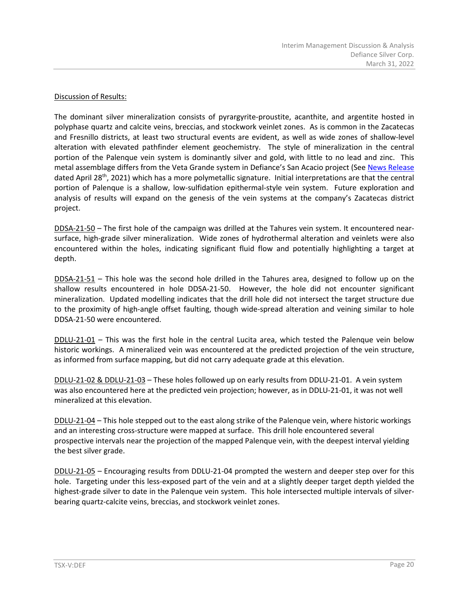# Discussion of Results:

The dominant silver mineralization consists of pyrargyrite-proustite, acanthite, and argentite hosted in polyphase quartz and calcite veins, breccias, and stockwork veinlet zones. As is common in the Zacatecas and Fresnillo districts, at least two structural events are evident, as well as wide zones of shallow-level alteration with elevated pathfinder element geochemistry. The style of mineralization in the central portion of the Palenque vein system is dominantly silver and gold, with little to no lead and zinc. This metal assemblage differs from the Veta Grande system in Defiance's San Acacio project (See [News Release](https://defiancesilver.com/news/drilling-returns-high-grades-and-wide-widths-in-new-zone-at-defiance-silver-s-zacatecas-project) dated April 28th, 2021) which has a more polymetallic signature. Initial interpretations are that the central portion of Palenque is a shallow, low-sulfidation epithermal-style vein system. Future exploration and analysis of results will expand on the genesis of the vein systems at the company's Zacatecas district project.

DDSA-21-50 – The first hole of the campaign was drilled at the Tahures vein system. It encountered nearsurface, high-grade silver mineralization. Wide zones of hydrothermal alteration and veinlets were also encountered within the holes, indicating significant fluid flow and potentially highlighting a target at depth.

DDSA-21-51 – This hole was the second hole drilled in the Tahures area, designed to follow up on the shallow results encountered in hole DDSA-21-50. However, the hole did not encounter significant mineralization. Updated modelling indicates that the drill hole did not intersect the target structure due to the proximity of high-angle offset faulting, though wide-spread alteration and veining similar to hole DDSA-21-50 were encountered.

DDLU-21-01 – This was the first hole in the central Lucita area, which tested the Palenque vein below historic workings. A mineralized vein was encountered at the predicted projection of the vein structure, as informed from surface mapping, but did not carry adequate grade at this elevation.

DDLU-21-02 & DDLU-21-03 – These holes followed up on early results from DDLU-21-01. A vein system was also encountered here at the predicted vein projection; however, as in DDLU-21-01, it was not well mineralized at this elevation.

DDLU-21-04 – This hole stepped out to the east along strike of the Palenque vein, where historic workings and an interesting cross-structure were mapped at surface. This drill hole encountered several prospective intervals near the projection of the mapped Palenque vein, with the deepest interval yielding the best silver grade.

DDLU-21-05 – Encouraging results from DDLU-21-04 prompted the western and deeper step over for this hole. Targeting under this less-exposed part of the vein and at a slightly deeper target depth yielded the highest-grade silver to date in the Palenque vein system. This hole intersected multiple intervals of silverbearing quartz-calcite veins, breccias, and stockwork veinlet zones.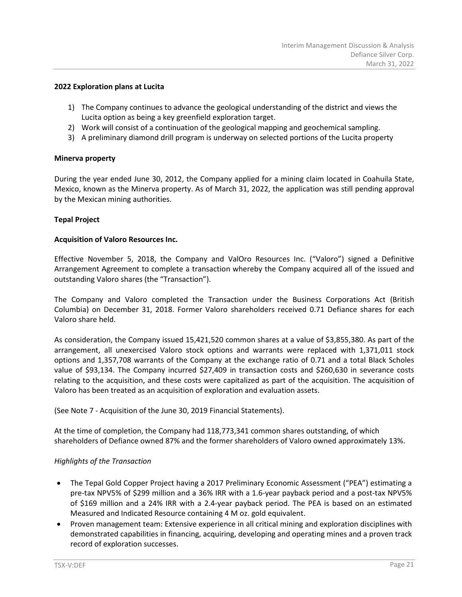#### **2022 Exploration plans at Lucita**

- 1) The Company continues to advance the geological understanding of the district and views the Lucita option as being a key greenfield exploration target.
- 2) Work will consist of a continuation of the geological mapping and geochemical sampling.
- 3) A preliminary diamond drill program is underway on selected portions of the Lucita property

#### **Minerva property**

During the year ended June 30, 2012, the Company applied for a mining claim located in Coahuila State, Mexico, known as the Minerva property. As of March 31, 2022, the application was still pending approval by the Mexican mining authorities.

# **Tepal Project**

#### **Acquisition of Valoro Resources Inc.**

Effective November 5, 2018, the Company and ValOro Resources Inc. ("Valoro") signed a Definitive Arrangement Agreement to complete a transaction whereby the Company acquired all of the issued and outstanding Valoro shares (the "Transaction").

The Company and Valoro completed the Transaction under the Business Corporations Act (British Columbia) on December 31, 2018. Former Valoro shareholders received 0.71 Defiance shares for each Valoro share held.

As consideration, the Company issued 15,421,520 common shares at a value of \$3,855,380. As part of the arrangement, all unexercised Valoro stock options and warrants were replaced with 1,371,011 stock options and 1,357,708 warrants of the Company at the exchange ratio of 0.71 and a total Black Scholes value of \$93,134. The Company incurred \$27,409 in transaction costs and \$260,630 in severance costs relating to the acquisition, and these costs were capitalized as part of the acquisition. The acquisition of Valoro has been treated as an acquisition of exploration and evaluation assets.

(See Note 7 - Acquisition of the June 30, 2019 Financial Statements).

At the time of completion, the Company had 118,773,341 common shares outstanding, of which shareholders of Defiance owned 87% and the former shareholders of Valoro owned approximately 13%.

#### *Highlights of the Transaction*

- The Tepal Gold Copper Project having a 2017 Preliminary Economic Assessment ("PEA") estimating a pre-tax NPV5% of \$299 million and a 36% IRR with a 1.6-year payback period and a post-tax NPV5% of \$169 million and a 24% IRR with a 2.4-year payback period. The PEA is based on an estimated Measured and Indicated Resource containing 4 M oz. gold equivalent.
- Proven management team: Extensive experience in all critical mining and exploration disciplines with demonstrated capabilities in financing, acquiring, developing and operating mines and a proven track record of exploration successes.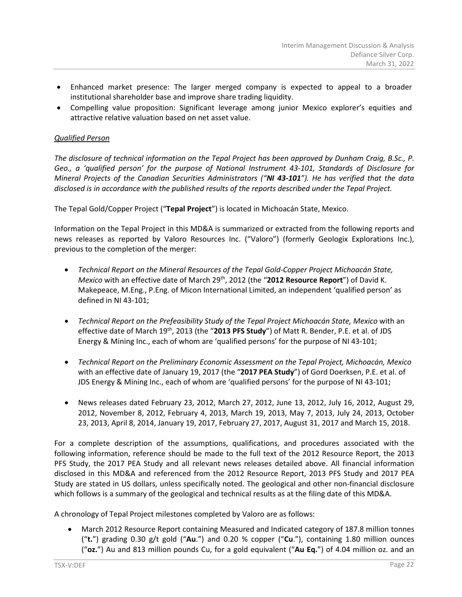- Enhanced market presence: The larger merged company is expected to appeal to a broader institutional shareholder base and improve share trading liquidity.
- Compelling value proposition: Significant leverage among junior Mexico explorer's equities and attractive relative valuation based on net asset value.

# *Qualified Person*

*The disclosure of technical information on the Tepal Project has been approved by Dunham Craig, B.Sc., P. Geo., a 'qualified person' for the purpose of National Instrument 43-101, Standards of Disclosure for Mineral Projects of the Canadian Securities Administrators ("NI 43-101"). He has verified that the data disclosed is in accordance with the published results of the reports described under the Tepal Project.*

The Tepal Gold/Copper Project ("**Tepal Project**") is located in Michoacán State, Mexico.

Information on the Tepal Project in this MD&A is summarized or extracted from the following reports and news releases as reported by Valoro Resources Inc. ("Valoro") (formerly Geologix Explorations Inc.), previous to the completion of the merger:

- *Technical Report on the Mineral Resources of the Tepal Gold-Copper Project Michoacán State, Mexico* with an effective date of March 29th, 2012 (the "**2012 Resource Report**") of David K. Makepeace, M.Eng., P.Eng. of Micon International Limited, an independent 'qualified person' as defined in NI 43-101;
- *Technical Report on the Prefeasibility Study of the Tepal Project Michoacán State, Mexico* with an effective date of March 19th, 2013 (the "**2013 PFS Study**") of Matt R. Bender, P.E. et al. of JDS Energy & Mining Inc., each of whom are 'qualified persons' for the purpose of NI 43-101;
- *Technical Report on the Preliminary Economic Assessment on the Tepal Project, Michoacán, Mexico* with an effective date of January 19, 2017 (the "**2017 PEA Study**") of Gord Doerksen, P.E. et al. of JDS Energy & Mining Inc., each of whom are 'qualified persons' for the purpose of NI 43-101;
- News releases dated February 23, 2012, March 27, 2012, June 13, 2012, July 16, 2012, August 29, 2012, November 8, 2012, February 4, 2013, March 19, 2013, May 7, 2013, July 24, 2013, October 23, 2013, April 8, 2014, January 19, 2017, February 27, 2017, August 31, 2017 and March 15, 2018.

For a complete description of the assumptions, qualifications, and procedures associated with the following information, reference should be made to the full text of the 2012 Resource Report, the 2013 PFS Study, the 2017 PEA Study and all relevant news releases detailed above. All financial information disclosed in this MD&A and referenced from the 2012 Resource Report, 2013 PFS Study and 2017 PEA Study are stated in US dollars, unless specifically noted. The geological and other non-financial disclosure which follows is a summary of the geological and technical results as at the filing date of this MD&A.

A chronology of Tepal Project milestones completed by Valoro are as follows:

• March 2012 Resource Report containing Measured and Indicated category of 187.8 million tonnes ("**t.**") grading 0.30 g/t gold ("**Au**.") and 0.20 % copper ("**Cu**."), containing 1.80 million ounces ("**oz.**") Au and 813 million pounds Cu, for a gold equivalent ("**Au Eq.**") of 4.04 million oz. and an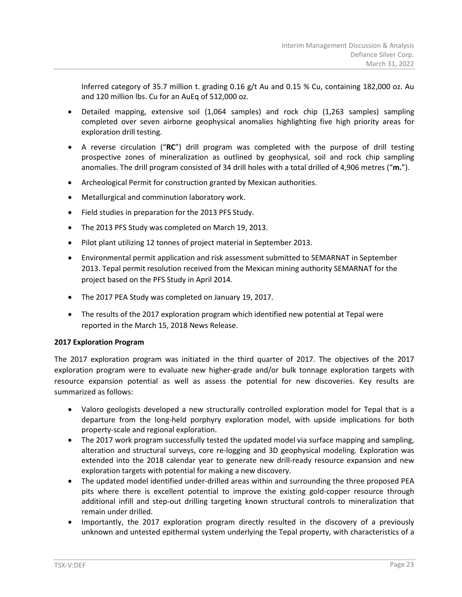Inferred category of 35.7 million t. grading 0.16 g/t Au and 0.15 % Cu, containing 182,000 oz. Au and 120 million lbs. Cu for an AuEq of 512,000 oz.

- Detailed mapping, extensive soil (1,064 samples) and rock chip (1,263 samples) sampling completed over seven airborne geophysical anomalies highlighting five high priority areas for exploration drill testing.
- A reverse circulation ("**RC**") drill program was completed with the purpose of drill testing prospective zones of mineralization as outlined by geophysical, soil and rock chip sampling anomalies. The drill program consisted of 34 drill holes with a total drilled of 4,906 metres ("**m.**").
- Archeological Permit for construction granted by Mexican authorities.
- Metallurgical and comminution laboratory work.
- Field studies in preparation for the 2013 PFS Study.
- The 2013 PFS Study was completed on March 19, 2013.
- Pilot plant utilizing 12 tonnes of project material in September 2013.
- Environmental permit application and risk assessment submitted to SEMARNAT in September 2013. Tepal permit resolution received from the Mexican mining authority SEMARNAT for the project based on the PFS Study in April 2014.
- The 2017 PEA Study was completed on January 19, 2017.
- The results of the 2017 exploration program which identified new potential at Tepal were reported in the March 15, 2018 News Release.

# **2017 Exploration Program**

The 2017 exploration program was initiated in the third quarter of 2017. The objectives of the 2017 exploration program were to evaluate new higher-grade and/or bulk tonnage exploration targets with resource expansion potential as well as assess the potential for new discoveries. Key results are summarized as follows:

- Valoro geologists developed a new structurally controlled exploration model for Tepal that is a departure from the long-held porphyry exploration model, with upside implications for both property-scale and regional exploration.
- The 2017 work program successfully tested the updated model via surface mapping and sampling, alteration and structural surveys, core re-logging and 3D geophysical modeling. Exploration was extended into the 2018 calendar year to generate new drill-ready resource expansion and new exploration targets with potential for making a new discovery.
- The updated model identified under-drilled areas within and surrounding the three proposed PEA pits where there is excellent potential to improve the existing gold-copper resource through additional infill and step-out drilling targeting known structural controls to mineralization that remain under drilled.
- Importantly, the 2017 exploration program directly resulted in the discovery of a previously unknown and untested epithermal system underlying the Tepal property, with characteristics of a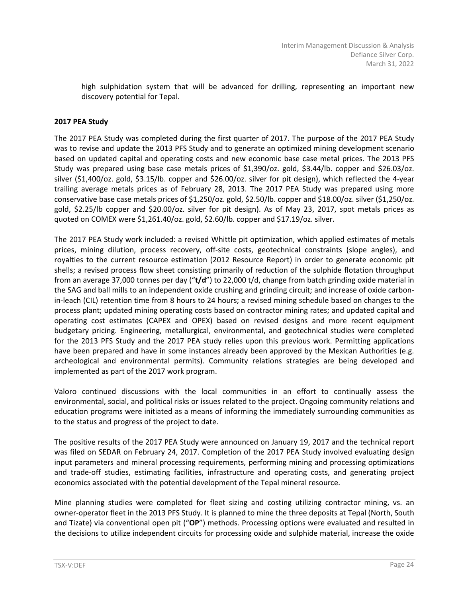high sulphidation system that will be advanced for drilling, representing an important new discovery potential for Tepal.

# **2017 PEA Study**

The 2017 PEA Study was completed during the first quarter of 2017. The purpose of the 2017 PEA Study was to revise and update the 2013 PFS Study and to generate an optimized mining development scenario based on updated capital and operating costs and new economic base case metal prices. The 2013 PFS Study was prepared using base case metals prices of \$1,390/oz. gold, \$3.44/lb. copper and \$26.03/oz. silver (\$1,400/oz. gold, \$3.15/lb. copper and \$26.00/oz. silver for pit design), which reflected the 4-year trailing average metals prices as of February 28, 2013. The 2017 PEA Study was prepared using more conservative base case metals prices of \$1,250/oz. gold, \$2.50/lb. copper and \$18.00/oz. silver (\$1,250/oz. gold, \$2.25/lb copper and \$20.00/oz. silver for pit design). As of May 23, 2017, spot metals prices as quoted on COMEX were \$1,261.40/oz. gold, \$2.60/lb. copper and \$17.19/oz. silver.

The 2017 PEA Study work included: a revised Whittle pit optimization, which applied estimates of metals prices, mining dilution, process recovery, off-site costs, geotechnical constraints (slope angles), and royalties to the current resource estimation (2012 Resource Report) in order to generate economic pit shells; a revised process flow sheet consisting primarily of reduction of the sulphide flotation throughput from an average 37,000 tonnes per day ("**t/d**") to 22,000 t/d, change from batch grinding oxide material in the SAG and ball mills to an independent oxide crushing and grinding circuit; and increase of oxide carbonin-leach (CIL) retention time from 8 hours to 24 hours; a revised mining schedule based on changes to the process plant; updated mining operating costs based on contractor mining rates; and updated capital and operating cost estimates (CAPEX and OPEX) based on revised designs and more recent equipment budgetary pricing. Engineering, metallurgical, environmental, and geotechnical studies were completed for the 2013 PFS Study and the 2017 PEA study relies upon this previous work. Permitting applications have been prepared and have in some instances already been approved by the Mexican Authorities (e.g. archeological and environmental permits). Community relations strategies are being developed and implemented as part of the 2017 work program.

Valoro continued discussions with the local communities in an effort to continually assess the environmental, social, and political risks or issues related to the project. Ongoing community relations and education programs were initiated as a means of informing the immediately surrounding communities as to the status and progress of the project to date.

The positive results of the 2017 PEA Study were announced on January 19, 2017 and the technical report was filed on SEDAR on February 24, 2017. Completion of the 2017 PEA Study involved evaluating design input parameters and mineral processing requirements, performing mining and processing optimizations and trade-off studies, estimating facilities, infrastructure and operating costs, and generating project economics associated with the potential development of the Tepal mineral resource.

Mine planning studies were completed for fleet sizing and costing utilizing contractor mining, vs. an owner-operator fleet in the 2013 PFS Study. It is planned to mine the three deposits at Tepal (North, South and Tizate) via conventional open pit ("**OP**") methods. Processing options were evaluated and resulted in the decisions to utilize independent circuits for processing oxide and sulphide material, increase the oxide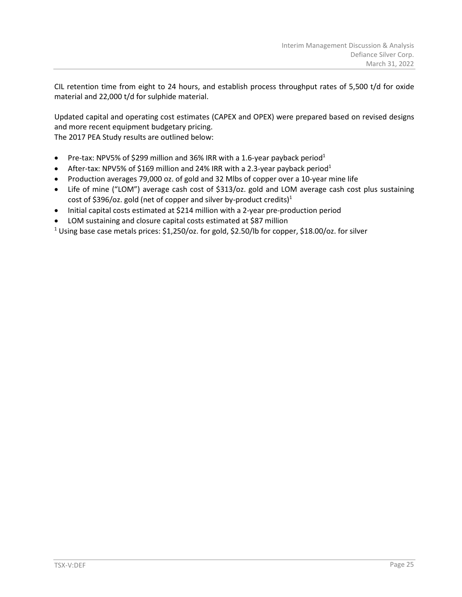CIL retention time from eight to 24 hours, and establish process throughput rates of 5,500 t/d for oxide material and 22,000 t/d for sulphide material.

Updated capital and operating cost estimates (CAPEX and OPEX) were prepared based on revised designs and more recent equipment budgetary pricing. The 2017 PEA Study results are outlined below:

- Pre-tax: NPV5% of \$299 million and 36% IRR with a 1.6-year payback period<sup>1</sup>
- After-tax: NPV5% of \$169 million and 24% IRR with a 2.3-year payback period<sup>1</sup>
- Production averages 79,000 oz. of gold and 32 Mlbs of copper over a 10-year mine life
- Life of mine ("LOM") average cash cost of \$313/oz. gold and LOM average cash cost plus sustaining cost of \$396/oz. gold (net of copper and silver by-product credits)<sup>1</sup>
- Initial capital costs estimated at \$214 million with a 2-year pre-production period
- LOM sustaining and closure capital costs estimated at \$87 million

<sup>1</sup> Using base case metals prices: \$1,250/oz. for gold, \$2.50/lb for copper, \$18.00/oz. for silver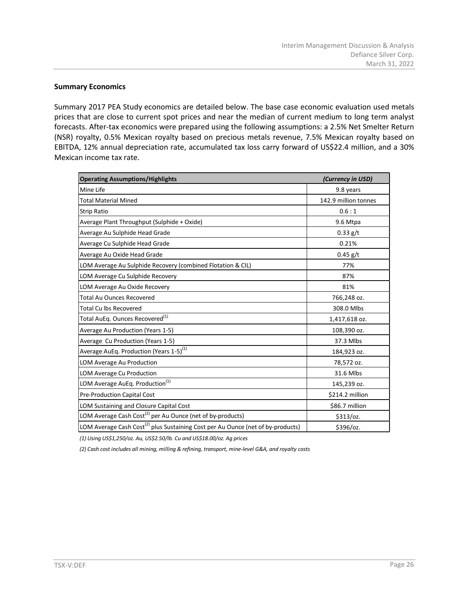# **Summary Economics**

Summary 2017 PEA Study economics are detailed below. The base case economic evaluation used metals prices that are close to current spot prices and near the median of current medium to long term analyst forecasts. After-tax economics were prepared using the following assumptions: a 2.5% Net Smelter Return (NSR) royalty, 0.5% Mexican royalty based on precious metals revenue, 7.5% Mexican royalty based on EBITDA, 12% annual depreciation rate, accumulated tax loss carry forward of US\$22.4 million, and a 30% Mexican income tax rate.

| <b>Operating Assumptions/Highlights</b>                                                     | (Currency in USD)    |
|---------------------------------------------------------------------------------------------|----------------------|
| Mine Life                                                                                   | 9.8 years            |
| <b>Total Material Mined</b>                                                                 | 142.9 million tonnes |
| <b>Strip Ratio</b>                                                                          | 0.6:1                |
| Average Plant Throughput (Sulphide + Oxide)                                                 | 9.6 Mtpa             |
| Average Au Sulphide Head Grade                                                              | $0.33$ g/t           |
| Average Cu Sulphide Head Grade                                                              | 0.21%                |
| Average Au Oxide Head Grade                                                                 | $0.45$ g/t           |
| LOM Average Au Sulphide Recovery (combined Flotation & CIL)                                 | 77%                  |
| LOM Average Cu Sulphide Recovery                                                            | 87%                  |
| LOM Average Au Oxide Recovery                                                               | 81%                  |
| <b>Total Au Ounces Recovered</b>                                                            | 766,248 oz.          |
| <b>Total Cu lbs Recovered</b>                                                               | 308.0 Mlbs           |
| Total AuEq. Ounces Recovered <sup>(1)</sup>                                                 | 1,417,618 oz.        |
| Average Au Production (Years 1-5)                                                           | 108,390 oz.          |
| Average Cu Production (Years 1-5)                                                           | 37.3 Mlbs            |
| Average AuEq. Production (Years 1-5) <sup>(1)</sup>                                         | 184,923 oz.          |
| LOM Average Au Production                                                                   | 78,572 oz.           |
| LOM Average Cu Production                                                                   | 31.6 Mlbs            |
| LOM Average AuEq. Production <sup>(1)</sup>                                                 | 145,239 oz.          |
| Pre-Production Capital Cost                                                                 | \$214.2 million      |
| LOM Sustaining and Closure Capital Cost                                                     | \$86.7 million       |
| LOM Average Cash Cost <sup>(2)</sup> per Au Ounce (net of by-products)                      | \$313/oz.            |
| LOM Average Cash Cost <sup>(2)</sup> plus Sustaining Cost per Au Ounce (net of by-products) | \$396/oz.            |

*(1) Using US\$1,250/oz. Au, US\$2.50/lb. Cu and US\$18.00/oz. Ag prices*

*(2) Cash cost includes all mining, milling & refining, transport, mine-level G&A, and royalty costs*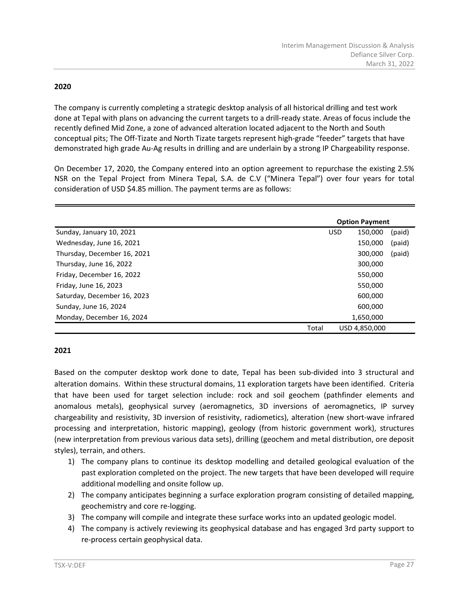# **2020**

The company is currently completing a strategic desktop analysis of all historical drilling and test work done at Tepal with plans on advancing the current targets to a drill-ready state. Areas of focus include the recently defined Mid Zone, a zone of advanced alteration located adjacent to the North and South conceptual pits; The Off-Tizate and North Tizate targets represent high-grade "feeder" targets that have demonstrated high grade Au-Ag results in drilling and are underlain by a strong IP Chargeability response.

On December 17, 2020, the Company entered into an option agreement to repurchase the existing 2.5% NSR on the Tepal Project from Minera Tepal, S.A. de C.V ("Minera Tepal") over four years for total consideration of USD \$4.85 million. The payment terms are as follows:

|                             |       |            | <b>Option Payment</b> |        |
|-----------------------------|-------|------------|-----------------------|--------|
| Sunday, January 10, 2021    |       | <b>USD</b> | 150,000               | (paid) |
| Wednesday, June 16, 2021    |       |            | 150.000               | (paid) |
| Thursday, December 16, 2021 |       |            | 300,000               | (paid) |
| Thursday, June 16, 2022     |       |            | 300,000               |        |
| Friday, December 16, 2022   |       |            | 550,000               |        |
| Friday, June 16, 2023       |       |            | 550,000               |        |
| Saturday, December 16, 2023 |       |            | 600,000               |        |
| Sunday, June 16, 2024       |       |            | 600,000               |        |
| Monday, December 16, 2024   |       |            | 1,650,000             |        |
|                             | Total |            | USD 4.850.000         |        |

# **2021**

Based on the computer desktop work done to date, Tepal has been sub-divided into 3 structural and alteration domains. Within these structural domains, 11 exploration targets have been identified. Criteria that have been used for target selection include: rock and soil geochem (pathfinder elements and anomalous metals), geophysical survey (aeromagnetics, 3D inversions of aeromagnetics, IP survey chargeability and resistivity, 3D inversion of resistivity, radiometics), alteration (new short-wave infrared processing and interpretation, historic mapping), geology (from historic government work), structures (new interpretation from previous various data sets), drilling (geochem and metal distribution, ore deposit styles), terrain, and others.

- 1) The company plans to continue its desktop modelling and detailed geological evaluation of the past exploration completed on the project. The new targets that have been developed will require additional modelling and onsite follow up.
- 2) The company anticipates beginning a surface exploration program consisting of detailed mapping, geochemistry and core re-logging.
- 3) The company will compile and integrate these surface works into an updated geologic model.
- 4) The company is actively reviewing its geophysical database and has engaged 3rd party support to re-process certain geophysical data.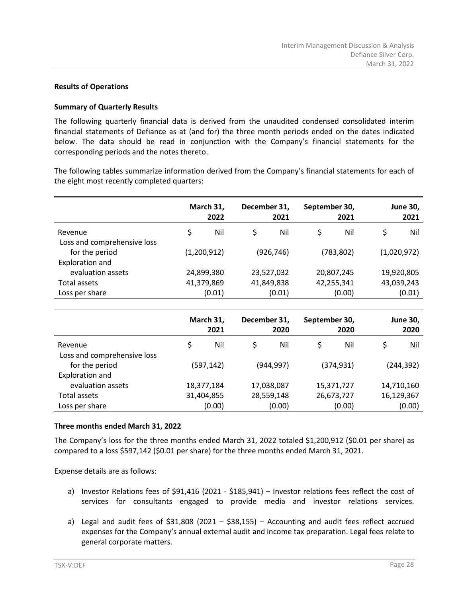# **Results of Operations**

#### **Summary of Quarterly Results**

The following quarterly financial data is derived from the unaudited condensed consolidated interim financial statements of Defiance as at (and for) the three month periods ended on the dates indicated below. The data should be read in conjunction with the Company's financial statements for the corresponding periods and the notes thereto.

The following tables summarize information derived from the Company's financial statements for each of the eight most recently completed quarters:

|                                        | March 31,<br>2022 | December 31, | 2021       | September 30, | 2021       | <b>June 30,</b><br>2021 |
|----------------------------------------|-------------------|--------------|------------|---------------|------------|-------------------------|
| Revenue<br>Loss and comprehensive loss | \$<br>Nil         | \$           | Nil        | \$            | Nil        | \$<br>Nil               |
| for the period                         | (1,200,912)       |              | (926, 746) |               | (783, 802) | (1,020,972)             |
| Exploration and<br>evaluation assets   | 24,899,380        |              | 23,527,032 |               | 20,807,245 | 19,920,805              |
| Total assets                           | 41,379,869        |              | 41,849,838 |               | 42,255,341 | 43,039,243              |
| Loss per share                         | (0.01)            |              | (0.01)     |               | (0.00)     | (0.01)                  |

|                             | March 31,<br>2021 | December 31, | 2020       | September 30, | 2020       | <b>June 30,</b><br>2020 |
|-----------------------------|-------------------|--------------|------------|---------------|------------|-------------------------|
| Revenue                     | \$<br>Nil         |              | Nil        | \$            | Nil        | Nil                     |
| Loss and comprehensive loss |                   |              |            |               |            |                         |
| for the period              | (597, 142)        |              | (944, 997) |               | (374, 931) | (244, 392)              |
| Exploration and             |                   |              |            |               |            |                         |
| evaluation assets           | 18,377,184        |              | 17,038,087 |               | 15,371,727 | 14,710,160              |
| Total assets                | 31,404,855        |              | 28,559,148 |               | 26,673,727 | 16,129,367              |
| Loss per share              | (0.00)            |              | (0.00)     |               | (0.00)     | (0.00)                  |

#### **Three months ended March 31, 2022**

The Company's loss for the three months ended March 31, 2022 totaled \$1,200,912 (\$0.01 per share) as compared to a loss \$597,142 (\$0.01 per share) for the three months ended March 31, 2021.

Expense details are as follows:

- a) Investor Relations fees of \$91,416 (2021 \$185,941) Investor relations fees reflect the cost of services for consultants engaged to provide media and investor relations services.
- a) Legal and audit fees of \$31,808 (2021 \$38,155) Accounting and audit fees reflect accrued expenses for the Company's annual external audit and income tax preparation. Legal fees relate to general corporate matters.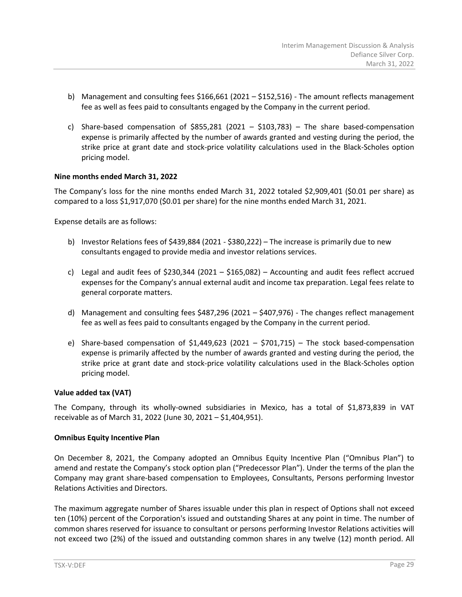- b) Management and consulting fees  $$166,661$  (2021  $$152,516$ ) The amount reflects management fee as well as fees paid to consultants engaged by the Company in the current period.
- c) Share-based compensation of  $$855,281$  (2021  $$103,783$ ) The share based-compensation expense is primarily affected by the number of awards granted and vesting during the period, the strike price at grant date and stock-price volatility calculations used in the Black-Scholes option pricing model.

# **Nine months ended March 31, 2022**

The Company's loss for the nine months ended March 31, 2022 totaled \$2,909,401 (\$0.01 per share) as compared to a loss \$1,917,070 (\$0.01 per share) for the nine months ended March 31, 2021.

Expense details are as follows:

- b) Investor Relations fees of \$439,884 (2021 \$380,222) The increase is primarily due to new consultants engaged to provide media and investor relations services.
- c) Legal and audit fees of \$230,344 (2021 \$165,082) Accounting and audit fees reflect accrued expenses for the Company's annual external audit and income tax preparation. Legal fees relate to general corporate matters.
- d) Management and consulting fees \$487,296 (2021 \$407,976) The changes reflect management fee as well as fees paid to consultants engaged by the Company in the current period.
- e) Share-based compensation of  $$1,449,623$  (2021  $$701,715$ ) The stock based-compensation expense is primarily affected by the number of awards granted and vesting during the period, the strike price at grant date and stock-price volatility calculations used in the Black-Scholes option pricing model.

#### **Value added tax (VAT)**

The Company, through its wholly-owned subsidiaries in Mexico, has a total of \$1,873,839 in VAT receivable as of March 31, 2022 (June 30, 2021 – \$1,404,951).

#### **Omnibus Equity Incentive Plan**

On December 8, 2021, the Company adopted an Omnibus Equity Incentive Plan ("Omnibus Plan") to amend and restate the Company's stock option plan ("Predecessor Plan"). Under the terms of the plan the Company may grant share-based compensation to Employees, Consultants, Persons performing Investor Relations Activities and Directors.

The maximum aggregate number of Shares issuable under this plan in respect of Options shall not exceed ten (10%) percent of the Corporation's issued and outstanding Shares at any point in time. The number of common shares reserved for issuance to consultant or persons performing Investor Relations activities will not exceed two (2%) of the issued and outstanding common shares in any twelve (12) month period. All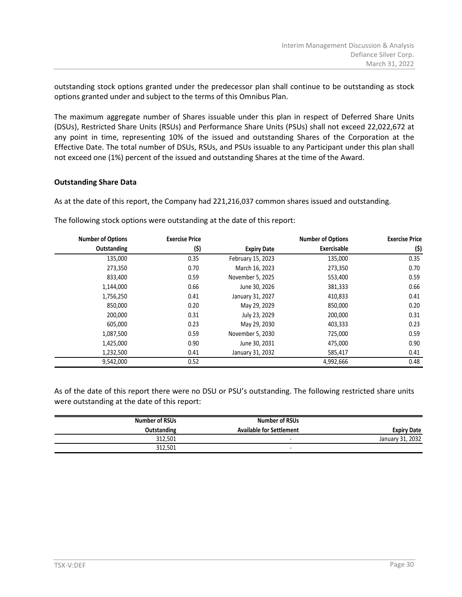outstanding stock options granted under the predecessor plan shall continue to be outstanding as stock options granted under and subject to the terms of this Omnibus Plan.

The maximum aggregate number of Shares issuable under this plan in respect of Deferred Share Units (DSUs), Restricted Share Units (RSUs) and Performance Share Units (PSUs) shall not exceed 22,022,672 at any point in time, representing 10% of the issued and outstanding Shares of the Corporation at the Effective Date. The total number of DSUs, RSUs, and PSUs issuable to any Participant under this plan shall not exceed one (1%) percent of the issued and outstanding Shares at the time of the Award.

# **Outstanding Share Data**

As at the date of this report, the Company had 221,216,037 common shares issued and outstanding.

| <b>Number of Options</b> | <b>Exercise Price</b> |                    | <b>Number of Options</b> | <b>Exercise Price</b> |
|--------------------------|-----------------------|--------------------|--------------------------|-----------------------|
| Outstanding              | (\$)                  | <b>Expiry Date</b> | Exercisable              | (\$)                  |
| 135,000                  | 0.35                  | February 15, 2023  | 135,000                  | 0.35                  |
| 273,350                  | 0.70                  | March 16, 2023     | 273,350                  | 0.70                  |
| 833,400                  | 0.59                  | November 5, 2025   | 553,400                  | 0.59                  |
| 1,144,000                | 0.66                  | June 30, 2026      | 381,333                  | 0.66                  |
| 1,756,250                | 0.41                  | January 31, 2027   | 410,833                  | 0.41                  |
| 850,000                  | 0.20                  | May 29, 2029       | 850,000                  | 0.20                  |
| 200,000                  | 0.31                  | July 23, 2029      | 200,000                  | 0.31                  |
| 605,000                  | 0.23                  | May 29, 2030       | 403,333                  | 0.23                  |
| 1,087,500                | 0.59                  | November 5, 2030   | 725,000                  | 0.59                  |
| 1,425,000                | 0.90                  | June 30, 2031      | 475,000                  | 0.90                  |
| 1,232,500                | 0.41                  | January 31, 2032   | 585,417                  | 0.41                  |
| 9,542,000                | 0.52                  |                    | 4,992,666                | 0.48                  |

The following stock options were outstanding at the date of this report:

As of the date of this report there were no DSU or PSU's outstanding. The following restricted share units were outstanding at the date of this report:

|                    | <b>Number of RSUs</b>           | Number of RSUs     |
|--------------------|---------------------------------|--------------------|
| <b>Expiry Date</b> | <b>Available for Settlement</b> | <b>Outstanding</b> |
| January 31, 2032   |                                 | 312.501            |
|                    | -                               | 312.501            |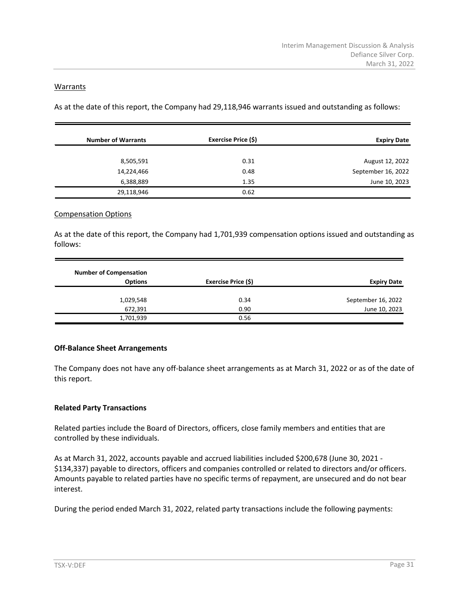#### **Warrants**

As at the date of this report, the Company had 29,118,946 warrants issued and outstanding as follows:

| <b>Number of Warrants</b> | Exercise Price (\$) | <b>Expiry Date</b> |
|---------------------------|---------------------|--------------------|
|                           |                     |                    |
| 8,505,591                 | 0.31                | August 12, 2022    |
| 14,224,466                | 0.48                | September 16, 2022 |
| 6,388,889                 | 1.35                | June 10, 2023      |
| 29,118,946                | 0.62                |                    |

#### Compensation Options

As at the date of this report, the Company had 1,701,939 compensation options issued and outstanding as follows:

|                    |                     | <b>Number of Compensation</b> |
|--------------------|---------------------|-------------------------------|
| <b>Expiry Date</b> | Exercise Price (\$) | <b>Options</b>                |
| September 16, 2022 | 0.34                | 1,029,548                     |
| June 10, 2023      | 0.90                | 672,391                       |
|                    | 0.56                | 1,701,939                     |

#### **Off-Balance Sheet Arrangements**

The Company does not have any off-balance sheet arrangements as at March 31, 2022 or as of the date of this report.

# **Related Party Transactions**

Related parties include the Board of Directors, officers, close family members and entities that are controlled by these individuals.

As at March 31, 2022, accounts payable and accrued liabilities included \$200,678 (June 30, 2021 - \$134,337) payable to directors, officers and companies controlled or related to directors and/or officers. Amounts payable to related parties have no specific terms of repayment, are unsecured and do not bear interest.

During the period ended March 31, 2022, related party transactions include the following payments: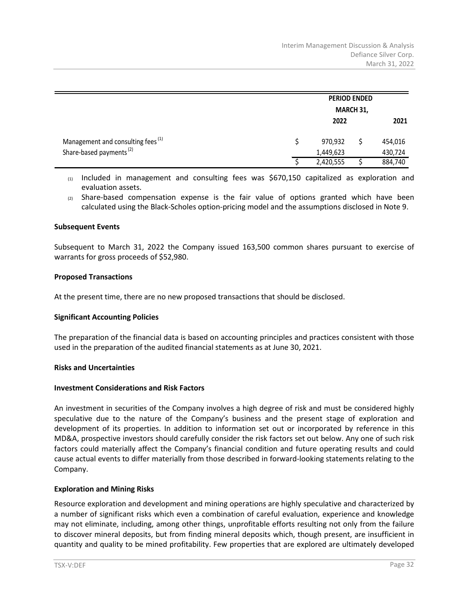|                                               |  | <b>PERIOD ENDED</b><br>MARCH 31, |  |         |  |
|-----------------------------------------------|--|----------------------------------|--|---------|--|
|                                               |  |                                  |  |         |  |
|                                               |  | 2022                             |  | 2021    |  |
| Management and consulting fees <sup>(1)</sup> |  | 970,932                          |  | 454,016 |  |
| Share-based payments <sup>(2)</sup>           |  | 1,449,623                        |  | 430,724 |  |
|                                               |  | 2,420,555                        |  | 884,740 |  |

 $(1)$  Included in management and consulting fees was \$670,150 capitalized as exploration and evaluation assets.

 $(2)$  Share-based compensation expense is the fair value of options granted which have been calculated using the Black-Scholes option-pricing model and the assumptions disclosed in Note 9.

#### **Subsequent Events**

Subsequent to March 31, 2022 the Company issued 163,500 common shares pursuant to exercise of warrants for gross proceeds of \$52,980.

#### **Proposed Transactions**

At the present time, there are no new proposed transactions that should be disclosed.

#### **Significant Accounting Policies**

The preparation of the financial data is based on accounting principles and practices consistent with those used in the preparation of the audited financial statements as at June 30, 2021.

#### **Risks and Uncertainties**

#### **Investment Considerations and Risk Factors**

An investment in securities of the Company involves a high degree of risk and must be considered highly speculative due to the nature of the Company's business and the present stage of exploration and development of its properties. In addition to information set out or incorporated by reference in this MD&A, prospective investors should carefully consider the risk factors set out below. Any one of such risk factors could materially affect the Company's financial condition and future operating results and could cause actual events to differ materially from those described in forward-looking statements relating to the Company.

# **Exploration and Mining Risks**

Resource exploration and development and mining operations are highly speculative and characterized by a number of significant risks which even a combination of careful evaluation, experience and knowledge may not eliminate, including, among other things, unprofitable efforts resulting not only from the failure to discover mineral deposits, but from finding mineral deposits which, though present, are insufficient in quantity and quality to be mined profitability. Few properties that are explored are ultimately developed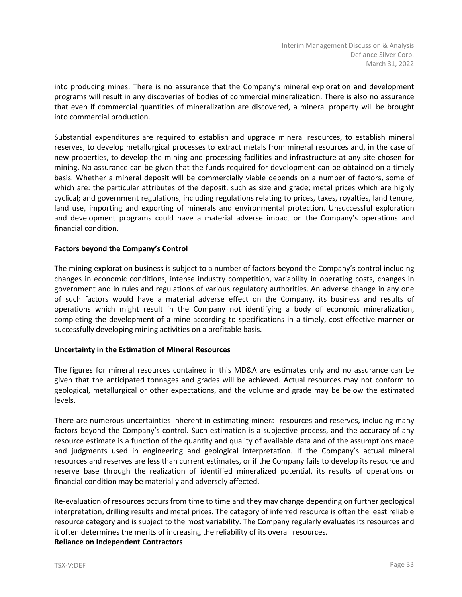into producing mines. There is no assurance that the Company's mineral exploration and development programs will result in any discoveries of bodies of commercial mineralization. There is also no assurance that even if commercial quantities of mineralization are discovered, a mineral property will be brought into commercial production.

Substantial expenditures are required to establish and upgrade mineral resources, to establish mineral reserves, to develop metallurgical processes to extract metals from mineral resources and, in the case of new properties, to develop the mining and processing facilities and infrastructure at any site chosen for mining. No assurance can be given that the funds required for development can be obtained on a timely basis. Whether a mineral deposit will be commercially viable depends on a number of factors, some of which are: the particular attributes of the deposit, such as size and grade; metal prices which are highly cyclical; and government regulations, including regulations relating to prices, taxes, royalties, land tenure, land use, importing and exporting of minerals and environmental protection. Unsuccessful exploration and development programs could have a material adverse impact on the Company's operations and financial condition.

# **Factors beyond the Company's Control**

The mining exploration business is subject to a number of factors beyond the Company's control including changes in economic conditions, intense industry competition, variability in operating costs, changes in government and in rules and regulations of various regulatory authorities. An adverse change in any one of such factors would have a material adverse effect on the Company, its business and results of operations which might result in the Company not identifying a body of economic mineralization, completing the development of a mine according to specifications in a timely, cost effective manner or successfully developing mining activities on a profitable basis.

#### **Uncertainty in the Estimation of Mineral Resources**

The figures for mineral resources contained in this MD&A are estimates only and no assurance can be given that the anticipated tonnages and grades will be achieved. Actual resources may not conform to geological, metallurgical or other expectations, and the volume and grade may be below the estimated levels.

There are numerous uncertainties inherent in estimating mineral resources and reserves, including many factors beyond the Company's control. Such estimation is a subjective process, and the accuracy of any resource estimate is a function of the quantity and quality of available data and of the assumptions made and judgments used in engineering and geological interpretation. If the Company's actual mineral resources and reserves are less than current estimates, or if the Company fails to develop its resource and reserve base through the realization of identified mineralized potential, its results of operations or financial condition may be materially and adversely affected.

Re-evaluation of resources occurs from time to time and they may change depending on further geological interpretation, drilling results and metal prices. The category of inferred resource is often the least reliable resource category and is subject to the most variability. The Company regularly evaluates its resources and it often determines the merits of increasing the reliability of its overall resources. **Reliance on Independent Contractors**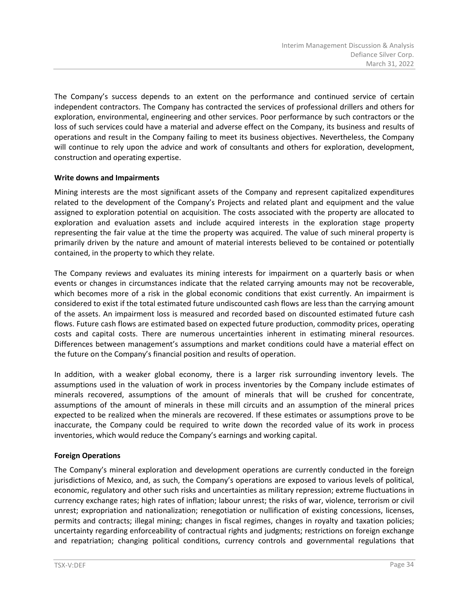The Company's success depends to an extent on the performance and continued service of certain independent contractors. The Company has contracted the services of professional drillers and others for exploration, environmental, engineering and other services. Poor performance by such contractors or the loss of such services could have a material and adverse effect on the Company, its business and results of operations and result in the Company failing to meet its business objectives. Nevertheless, the Company will continue to rely upon the advice and work of consultants and others for exploration, development, construction and operating expertise.

# **Write downs and Impairments**

Mining interests are the most significant assets of the Company and represent capitalized expenditures related to the development of the Company's Projects and related plant and equipment and the value assigned to exploration potential on acquisition. The costs associated with the property are allocated to exploration and evaluation assets and include acquired interests in the exploration stage property representing the fair value at the time the property was acquired. The value of such mineral property is primarily driven by the nature and amount of material interests believed to be contained or potentially contained, in the property to which they relate.

The Company reviews and evaluates its mining interests for impairment on a quarterly basis or when events or changes in circumstances indicate that the related carrying amounts may not be recoverable, which becomes more of a risk in the global economic conditions that exist currently. An impairment is considered to exist if the total estimated future undiscounted cash flows are less than the carrying amount of the assets. An impairment loss is measured and recorded based on discounted estimated future cash flows. Future cash flows are estimated based on expected future production, commodity prices, operating costs and capital costs. There are numerous uncertainties inherent in estimating mineral resources. Differences between management's assumptions and market conditions could have a material effect on the future on the Company's financial position and results of operation.

In addition, with a weaker global economy, there is a larger risk surrounding inventory levels. The assumptions used in the valuation of work in process inventories by the Company include estimates of minerals recovered, assumptions of the amount of minerals that will be crushed for concentrate, assumptions of the amount of minerals in these mill circuits and an assumption of the mineral prices expected to be realized when the minerals are recovered. If these estimates or assumptions prove to be inaccurate, the Company could be required to write down the recorded value of its work in process inventories, which would reduce the Company's earnings and working capital.

# **Foreign Operations**

The Company's mineral exploration and development operations are currently conducted in the foreign jurisdictions of Mexico, and, as such, the Company's operations are exposed to various levels of political, economic, regulatory and other such risks and uncertainties as military repression; extreme fluctuations in currency exchange rates; high rates of inflation; labour unrest; the risks of war, violence, terrorism or civil unrest; expropriation and nationalization; renegotiation or nullification of existing concessions, licenses, permits and contracts; illegal mining; changes in fiscal regimes, changes in royalty and taxation policies; uncertainty regarding enforceability of contractual rights and judgments; restrictions on foreign exchange and repatriation; changing political conditions, currency controls and governmental regulations that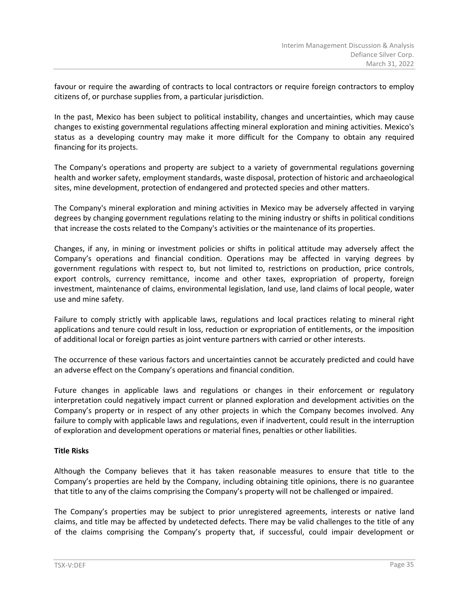favour or require the awarding of contracts to local contractors or require foreign contractors to employ citizens of, or purchase supplies from, a particular jurisdiction.

In the past, Mexico has been subject to political instability, changes and uncertainties, which may cause changes to existing governmental regulations affecting mineral exploration and mining activities. Mexico's status as a developing country may make it more difficult for the Company to obtain any required financing for its projects.

The Company's operations and property are subject to a variety of governmental regulations governing health and worker safety, employment standards, waste disposal, protection of historic and archaeological sites, mine development, protection of endangered and protected species and other matters.

The Company's mineral exploration and mining activities in Mexico may be adversely affected in varying degrees by changing government regulations relating to the mining industry or shifts in political conditions that increase the costs related to the Company's activities or the maintenance of its properties.

Changes, if any, in mining or investment policies or shifts in political attitude may adversely affect the Company's operations and financial condition. Operations may be affected in varying degrees by government regulations with respect to, but not limited to, restrictions on production, price controls, export controls, currency remittance, income and other taxes, expropriation of property, foreign investment, maintenance of claims, environmental legislation, land use, land claims of local people, water use and mine safety.

Failure to comply strictly with applicable laws, regulations and local practices relating to mineral right applications and tenure could result in loss, reduction or expropriation of entitlements, or the imposition of additional local or foreign parties as joint venture partners with carried or other interests.

The occurrence of these various factors and uncertainties cannot be accurately predicted and could have an adverse effect on the Company's operations and financial condition.

Future changes in applicable laws and regulations or changes in their enforcement or regulatory interpretation could negatively impact current or planned exploration and development activities on the Company's property or in respect of any other projects in which the Company becomes involved. Any failure to comply with applicable laws and regulations, even if inadvertent, could result in the interruption of exploration and development operations or material fines, penalties or other liabilities.

# **Title Risks**

Although the Company believes that it has taken reasonable measures to ensure that title to the Company's properties are held by the Company, including obtaining title opinions, there is no guarantee that title to any of the claims comprising the Company's property will not be challenged or impaired.

The Company's properties may be subject to prior unregistered agreements, interests or native land claims, and title may be affected by undetected defects. There may be valid challenges to the title of any of the claims comprising the Company's property that, if successful, could impair development or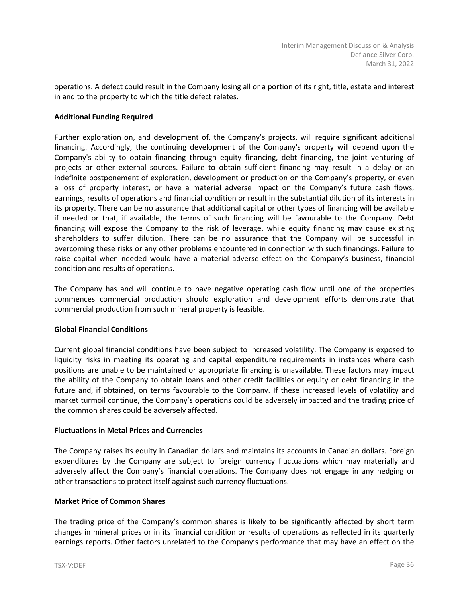operations. A defect could result in the Company losing all or a portion of its right, title, estate and interest in and to the property to which the title defect relates.

# **Additional Funding Required**

Further exploration on, and development of, the Company's projects, will require significant additional financing. Accordingly, the continuing development of the Company's property will depend upon the Company's ability to obtain financing through equity financing, debt financing, the joint venturing of projects or other external sources. Failure to obtain sufficient financing may result in a delay or an indefinite postponement of exploration, development or production on the Company's property, or even a loss of property interest, or have a material adverse impact on the Company's future cash flows, earnings, results of operations and financial condition or result in the substantial dilution of its interests in its property. There can be no assurance that additional capital or other types of financing will be available if needed or that, if available, the terms of such financing will be favourable to the Company. Debt financing will expose the Company to the risk of leverage, while equity financing may cause existing shareholders to suffer dilution. There can be no assurance that the Company will be successful in overcoming these risks or any other problems encountered in connection with such financings. Failure to raise capital when needed would have a material adverse effect on the Company's business, financial condition and results of operations.

The Company has and will continue to have negative operating cash flow until one of the properties commences commercial production should exploration and development efforts demonstrate that commercial production from such mineral property is feasible.

# **Global Financial Conditions**

Current global financial conditions have been subject to increased volatility. The Company is exposed to liquidity risks in meeting its operating and capital expenditure requirements in instances where cash positions are unable to be maintained or appropriate financing is unavailable. These factors may impact the ability of the Company to obtain loans and other credit facilities or equity or debt financing in the future and, if obtained, on terms favourable to the Company. If these increased levels of volatility and market turmoil continue, the Company's operations could be adversely impacted and the trading price of the common shares could be adversely affected.

# **Fluctuations in Metal Prices and Currencies**

The Company raises its equity in Canadian dollars and maintains its accounts in Canadian dollars. Foreign expenditures by the Company are subject to foreign currency fluctuations which may materially and adversely affect the Company's financial operations. The Company does not engage in any hedging or other transactions to protect itself against such currency fluctuations.

# **Market Price of Common Shares**

The trading price of the Company's common shares is likely to be significantly affected by short term changes in mineral prices or in its financial condition or results of operations as reflected in its quarterly earnings reports. Other factors unrelated to the Company's performance that may have an effect on the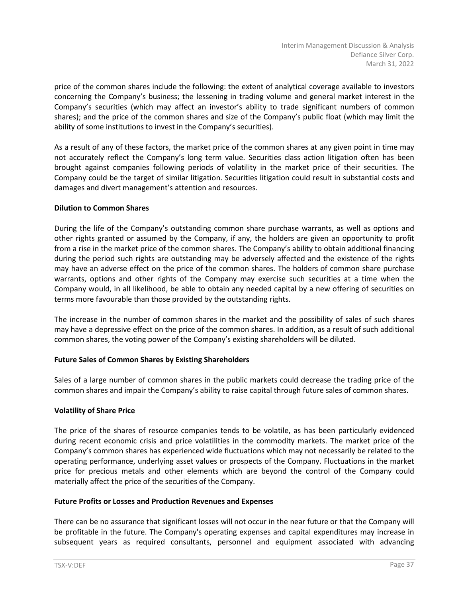price of the common shares include the following: the extent of analytical coverage available to investors concerning the Company's business; the lessening in trading volume and general market interest in the Company's securities (which may affect an investor's ability to trade significant numbers of common shares); and the price of the common shares and size of the Company's public float (which may limit the ability of some institutions to invest in the Company's securities).

As a result of any of these factors, the market price of the common shares at any given point in time may not accurately reflect the Company's long term value. Securities class action litigation often has been brought against companies following periods of volatility in the market price of their securities. The Company could be the target of similar litigation. Securities litigation could result in substantial costs and damages and divert management's attention and resources.

# **Dilution to Common Shares**

During the life of the Company's outstanding common share purchase warrants, as well as options and other rights granted or assumed by the Company, if any, the holders are given an opportunity to profit from a rise in the market price of the common shares. The Company's ability to obtain additional financing during the period such rights are outstanding may be adversely affected and the existence of the rights may have an adverse effect on the price of the common shares. The holders of common share purchase warrants, options and other rights of the Company may exercise such securities at a time when the Company would, in all likelihood, be able to obtain any needed capital by a new offering of securities on terms more favourable than those provided by the outstanding rights.

The increase in the number of common shares in the market and the possibility of sales of such shares may have a depressive effect on the price of the common shares. In addition, as a result of such additional common shares, the voting power of the Company's existing shareholders will be diluted.

# **Future Sales of Common Shares by Existing Shareholders**

Sales of a large number of common shares in the public markets could decrease the trading price of the common shares and impair the Company's ability to raise capital through future sales of common shares.

# **Volatility of Share Price**

The price of the shares of resource companies tends to be volatile, as has been particularly evidenced during recent economic crisis and price volatilities in the commodity markets. The market price of the Company's common shares has experienced wide fluctuations which may not necessarily be related to the operating performance, underlying asset values or prospects of the Company. Fluctuations in the market price for precious metals and other elements which are beyond the control of the Company could materially affect the price of the securities of the Company.

#### **Future Profits or Losses and Production Revenues and Expenses**

There can be no assurance that significant losses will not occur in the near future or that the Company will be profitable in the future. The Company's operating expenses and capital expenditures may increase in subsequent years as required consultants, personnel and equipment associated with advancing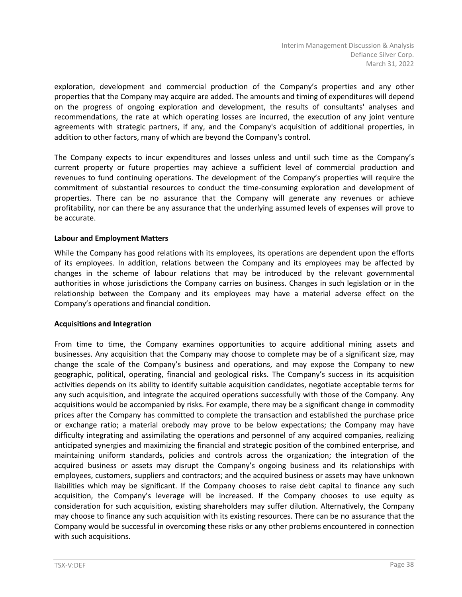exploration, development and commercial production of the Company's properties and any other properties that the Company may acquire are added. The amounts and timing of expenditures will depend on the progress of ongoing exploration and development, the results of consultants' analyses and recommendations, the rate at which operating losses are incurred, the execution of any joint venture agreements with strategic partners, if any, and the Company's acquisition of additional properties, in addition to other factors, many of which are beyond the Company's control.

The Company expects to incur expenditures and losses unless and until such time as the Company's current property or future properties may achieve a sufficient level of commercial production and revenues to fund continuing operations. The development of the Company's properties will require the commitment of substantial resources to conduct the time-consuming exploration and development of properties. There can be no assurance that the Company will generate any revenues or achieve profitability, nor can there be any assurance that the underlying assumed levels of expenses will prove to be accurate.

#### **Labour and Employment Matters**

While the Company has good relations with its employees, its operations are dependent upon the efforts of its employees. In addition, relations between the Company and its employees may be affected by changes in the scheme of labour relations that may be introduced by the relevant governmental authorities in whose jurisdictions the Company carries on business. Changes in such legislation or in the relationship between the Company and its employees may have a material adverse effect on the Company's operations and financial condition.

# **Acquisitions and Integration**

From time to time, the Company examines opportunities to acquire additional mining assets and businesses. Any acquisition that the Company may choose to complete may be of a significant size, may change the scale of the Company's business and operations, and may expose the Company to new geographic, political, operating, financial and geological risks. The Company's success in its acquisition activities depends on its ability to identify suitable acquisition candidates, negotiate acceptable terms for any such acquisition, and integrate the acquired operations successfully with those of the Company. Any acquisitions would be accompanied by risks. For example, there may be a significant change in commodity prices after the Company has committed to complete the transaction and established the purchase price or exchange ratio; a material orebody may prove to be below expectations; the Company may have difficulty integrating and assimilating the operations and personnel of any acquired companies, realizing anticipated synergies and maximizing the financial and strategic position of the combined enterprise, and maintaining uniform standards, policies and controls across the organization; the integration of the acquired business or assets may disrupt the Company's ongoing business and its relationships with employees, customers, suppliers and contractors; and the acquired business or assets may have unknown liabilities which may be significant. If the Company chooses to raise debt capital to finance any such acquisition, the Company's leverage will be increased. If the Company chooses to use equity as consideration for such acquisition, existing shareholders may suffer dilution. Alternatively, the Company may choose to finance any such acquisition with its existing resources. There can be no assurance that the Company would be successful in overcoming these risks or any other problems encountered in connection with such acquisitions.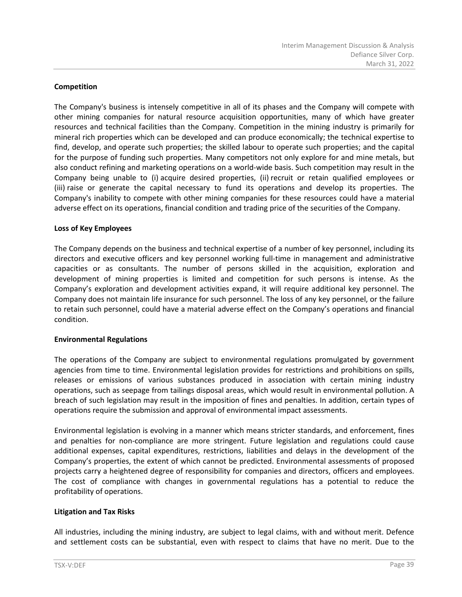# **Competition**

The Company's business is intensely competitive in all of its phases and the Company will compete with other mining companies for natural resource acquisition opportunities, many of which have greater resources and technical facilities than the Company. Competition in the mining industry is primarily for mineral rich properties which can be developed and can produce economically; the technical expertise to find, develop, and operate such properties; the skilled labour to operate such properties; and the capital for the purpose of funding such properties. Many competitors not only explore for and mine metals, but also conduct refining and marketing operations on a world-wide basis. Such competition may result in the Company being unable to (i) acquire desired properties, (ii) recruit or retain qualified employees or (iii) raise or generate the capital necessary to fund its operations and develop its properties. The Company's inability to compete with other mining companies for these resources could have a material adverse effect on its operations, financial condition and trading price of the securities of the Company.

#### **Loss of Key Employees**

The Company depends on the business and technical expertise of a number of key personnel, including its directors and executive officers and key personnel working full-time in management and administrative capacities or as consultants. The number of persons skilled in the acquisition, exploration and development of mining properties is limited and competition for such persons is intense. As the Company's exploration and development activities expand, it will require additional key personnel. The Company does not maintain life insurance for such personnel. The loss of any key personnel, or the failure to retain such personnel, could have a material adverse effect on the Company's operations and financial condition.

# **Environmental Regulations**

The operations of the Company are subject to environmental regulations promulgated by government agencies from time to time. Environmental legislation provides for restrictions and prohibitions on spills, releases or emissions of various substances produced in association with certain mining industry operations, such as seepage from tailings disposal areas, which would result in environmental pollution. A breach of such legislation may result in the imposition of fines and penalties. In addition, certain types of operations require the submission and approval of environmental impact assessments.

Environmental legislation is evolving in a manner which means stricter standards, and enforcement, fines and penalties for non-compliance are more stringent. Future legislation and regulations could cause additional expenses, capital expenditures, restrictions, liabilities and delays in the development of the Company's properties, the extent of which cannot be predicted. Environmental assessments of proposed projects carry a heightened degree of responsibility for companies and directors, officers and employees. The cost of compliance with changes in governmental regulations has a potential to reduce the profitability of operations.

# **Litigation and Tax Risks**

All industries, including the mining industry, are subject to legal claims, with and without merit. Defence and settlement costs can be substantial, even with respect to claims that have no merit. Due to the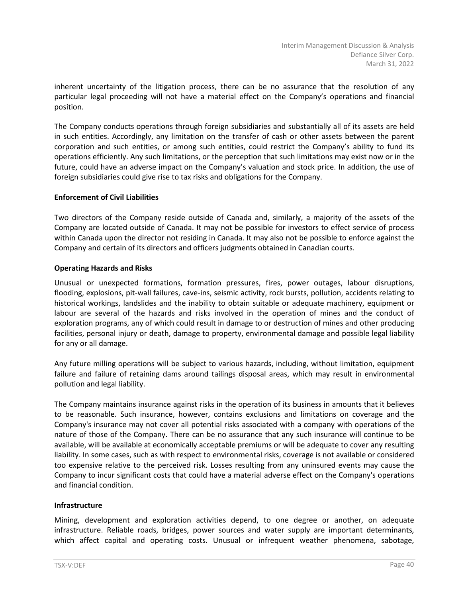inherent uncertainty of the litigation process, there can be no assurance that the resolution of any particular legal proceeding will not have a material effect on the Company's operations and financial position.

The Company conducts operations through foreign subsidiaries and substantially all of its assets are held in such entities. Accordingly, any limitation on the transfer of cash or other assets between the parent corporation and such entities, or among such entities, could restrict the Company's ability to fund its operations efficiently. Any such limitations, or the perception that such limitations may exist now or in the future, could have an adverse impact on the Company's valuation and stock price. In addition, the use of foreign subsidiaries could give rise to tax risks and obligations for the Company.

# **Enforcement of Civil Liabilities**

Two directors of the Company reside outside of Canada and, similarly, a majority of the assets of the Company are located outside of Canada. It may not be possible for investors to effect service of process within Canada upon the director not residing in Canada. It may also not be possible to enforce against the Company and certain of its directors and officers judgments obtained in Canadian courts.

# **Operating Hazards and Risks**

Unusual or unexpected formations, formation pressures, fires, power outages, labour disruptions, flooding, explosions, pit-wall failures, cave-ins, seismic activity, rock bursts, pollution, accidents relating to historical workings, landslides and the inability to obtain suitable or adequate machinery, equipment or labour are several of the hazards and risks involved in the operation of mines and the conduct of exploration programs, any of which could result in damage to or destruction of mines and other producing facilities, personal injury or death, damage to property, environmental damage and possible legal liability for any or all damage.

Any future milling operations will be subject to various hazards, including, without limitation, equipment failure and failure of retaining dams around tailings disposal areas, which may result in environmental pollution and legal liability.

The Company maintains insurance against risks in the operation of its business in amounts that it believes to be reasonable. Such insurance, however, contains exclusions and limitations on coverage and the Company's insurance may not cover all potential risks associated with a company with operations of the nature of those of the Company. There can be no assurance that any such insurance will continue to be available, will be available at economically acceptable premiums or will be adequate to cover any resulting liability. In some cases, such as with respect to environmental risks, coverage is not available or considered too expensive relative to the perceived risk. Losses resulting from any uninsured events may cause the Company to incur significant costs that could have a material adverse effect on the Company's operations and financial condition.

# **Infrastructure**

Mining, development and exploration activities depend, to one degree or another, on adequate infrastructure. Reliable roads, bridges, power sources and water supply are important determinants, which affect capital and operating costs. Unusual or infrequent weather phenomena, sabotage,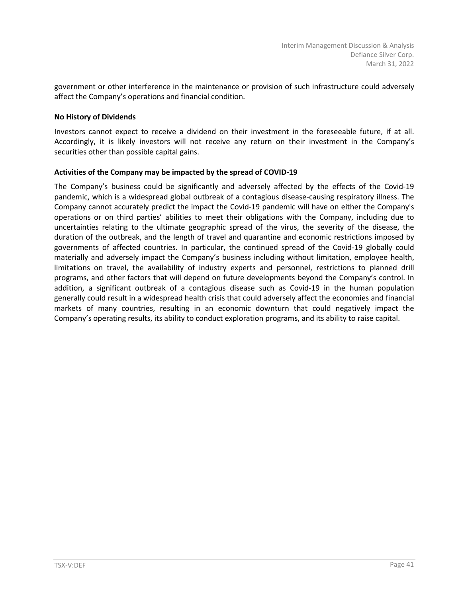government or other interference in the maintenance or provision of such infrastructure could adversely affect the Company's operations and financial condition.

# **No History of Dividends**

Investors cannot expect to receive a dividend on their investment in the foreseeable future, if at all. Accordingly, it is likely investors will not receive any return on their investment in the Company's securities other than possible capital gains.

# **Activities of the Company may be impacted by the spread of COVID-19**

The Company's business could be significantly and adversely affected by the effects of the Covid-19 pandemic, which is a widespread global outbreak of a contagious disease-causing respiratory illness. The Company cannot accurately predict the impact the Covid-19 pandemic will have on either the Company's operations or on third parties' abilities to meet their obligations with the Company, including due to uncertainties relating to the ultimate geographic spread of the virus, the severity of the disease, the duration of the outbreak, and the length of travel and quarantine and economic restrictions imposed by governments of affected countries. In particular, the continued spread of the Covid-19 globally could materially and adversely impact the Company's business including without limitation, employee health, limitations on travel, the availability of industry experts and personnel, restrictions to planned drill programs, and other factors that will depend on future developments beyond the Company's control. In addition, a significant outbreak of a contagious disease such as Covid-19 in the human population generally could result in a widespread health crisis that could adversely affect the economies and financial markets of many countries, resulting in an economic downturn that could negatively impact the Company's operating results, its ability to conduct exploration programs, and its ability to raise capital.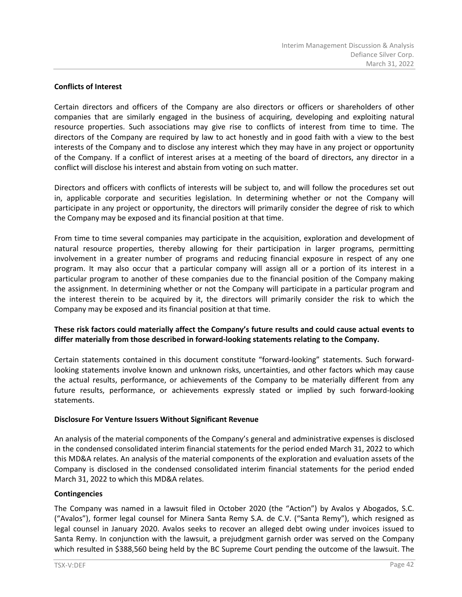# **Conflicts of Interest**

Certain directors and officers of the Company are also directors or officers or shareholders of other companies that are similarly engaged in the business of acquiring, developing and exploiting natural resource properties. Such associations may give rise to conflicts of interest from time to time. The directors of the Company are required by law to act honestly and in good faith with a view to the best interests of the Company and to disclose any interest which they may have in any project or opportunity of the Company. If a conflict of interest arises at a meeting of the board of directors, any director in a conflict will disclose his interest and abstain from voting on such matter.

Directors and officers with conflicts of interests will be subject to, and will follow the procedures set out in, applicable corporate and securities legislation. In determining whether or not the Company will participate in any project or opportunity, the directors will primarily consider the degree of risk to which the Company may be exposed and its financial position at that time.

From time to time several companies may participate in the acquisition, exploration and development of natural resource properties, thereby allowing for their participation in larger programs, permitting involvement in a greater number of programs and reducing financial exposure in respect of any one program. It may also occur that a particular company will assign all or a portion of its interest in a particular program to another of these companies due to the financial position of the Company making the assignment. In determining whether or not the Company will participate in a particular program and the interest therein to be acquired by it, the directors will primarily consider the risk to which the Company may be exposed and its financial position at that time.

# **These risk factors could materially affect the Company's future results and could cause actual events to differ materially from those described in forward-looking statements relating to the Company.**

Certain statements contained in this document constitute "forward-looking" statements. Such forwardlooking statements involve known and unknown risks, uncertainties, and other factors which may cause the actual results, performance, or achievements of the Company to be materially different from any future results, performance, or achievements expressly stated or implied by such forward-looking statements.

# **Disclosure For Venture Issuers Without Significant Revenue**

An analysis of the material components of the Company's general and administrative expenses is disclosed in the condensed consolidated interim financial statements for the period ended March 31, 2022 to which this MD&A relates. An analysis of the material components of the exploration and evaluation assets of the Company is disclosed in the condensed consolidated interim financial statements for the period ended March 31, 2022 to which this MD&A relates.

#### **Contingencies**

The Company was named in a lawsuit filed in October 2020 (the "Action") by Avalos y Abogados, S.C. ("Avalos"), former legal counsel for Minera Santa Remy S.A. de C.V. ("Santa Remy"), which resigned as legal counsel in January 2020. Avalos seeks to recover an alleged debt owing under invoices issued to Santa Remy. In conjunction with the lawsuit, a prejudgment garnish order was served on the Company which resulted in \$388,560 being held by the BC Supreme Court pending the outcome of the lawsuit. The